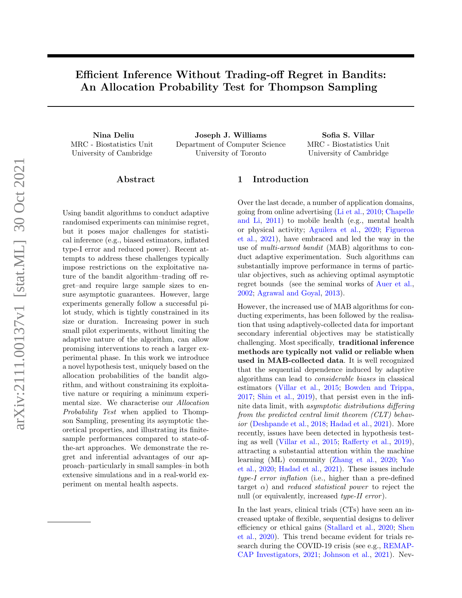# Efficient Inference Without Trading-off Regret in Bandits: An Allocation Probability Test for Thompson Sampling

MRC - Biostatistics Unit University of Cambridge

Nina Deliu Joseph J. Williams Sofia S. Villar Department of Computer Science University of Toronto

MRC - Biostatistics Unit University of Cambridge

## Abstract

Using bandit algorithms to conduct adaptive randomised experiments can minimise regret, but it poses major challenges for statistical inference (e.g., biased estimators, inflated type-I error and reduced power). Recent attempts to address these challenges typically impose restrictions on the exploitative nature of the bandit algorithm–trading off regret–and require large sample sizes to ensure asymptotic guarantees. However, large experiments generally follow a successful pilot study, which is tightly constrained in its size or duration. Increasing power in such small pilot experiments, without limiting the adaptive nature of the algorithm, can allow promising interventions to reach a larger experimental phase. In this work we introduce a novel hypothesis test, uniquely based on the allocation probabilities of the bandit algorithm, and without constraining its exploitative nature or requiring a minimum experimental size. We characterise our Allocation Probability Test when applied to Thompson Sampling, presenting its asymptotic theoretical properties, and illustrating its finitesample performances compared to state-ofthe-art approaches. We demonstrate the regret and inferential advantages of our approach–particularly in small samples–in both extensive simulations and in a real-world experiment on mental health aspects.

# 1 Introduction

Over the last decade, a number of application domains, going from online advertising [\(Li et al.,](#page-9-0) [2010;](#page-9-0) [Chapelle](#page-8-0) [and Li,](#page-8-0) [2011\)](#page-8-0) to mobile health (e.g., mental health or physical activity; [Aguilera et al.,](#page-8-1) [2020;](#page-8-1) [Figueroa](#page-8-2) [et al.,](#page-8-2) [2021\)](#page-8-2), have embraced and led the way in the use of multi-armed bandit (MAB) algorithms to conduct adaptive experimentation. Such algorithms can substantially improve performance in terms of particular objectives, such as achieving optimal asymptotic regret bounds (see the seminal works of [Auer et al.,](#page-8-3) [2002;](#page-8-3) [Agrawal and Goyal,](#page-8-4) [2013\)](#page-8-4).

However, the increased use of MAB algorithms for conducting experiments, has been followed by the realisation that using adaptively-collected data for important secondary inferential objectives may be statistically challenging. Most specifically, traditional inference methods are typically not valid or reliable when used in MAB-collected data. It is well recognized that the sequential dependence induced by adaptive algorithms can lead to considerable biases in classical estimators [\(Villar et al.,](#page-10-0) [2015;](#page-10-0) [Bowden and Trippa,](#page-8-5) [2017;](#page-8-5) [Shin et al.,](#page-9-1) [2019\)](#page-9-1), that persist even in the infinite data limit, with asymptotic distributions differing from the predicted central limit theorem (CLT) behavior [\(Deshpande et al.,](#page-8-6) [2018;](#page-8-6) [Hadad et al.,](#page-9-2) [2021\)](#page-9-2). More recently, issues have been detected in hypothesis testing as well [\(Villar et al.,](#page-10-0) [2015;](#page-10-0) [Rafferty et al.,](#page-9-3) [2019\)](#page-9-3), attracting a substantial attention within the machine learning (ML) community [\(Zhang et al.,](#page-10-1) [2020;](#page-10-1) [Yao](#page-10-2) [et al.,](#page-10-2) [2020;](#page-10-2) [Hadad et al.,](#page-9-2) [2021\)](#page-9-2). These issues include type-I error inflation (i.e., higher than a pre-defined target  $\alpha$ ) and *reduced statistical power* to reject the null (or equivalently, increased *type-II error*).

In the last years, clinical trials (CTs) have seen an increased uptake of flexible, sequential designs to deliver efficiency or ethical gains [\(Stallard et al.,](#page-9-4) [2020;](#page-9-4) [Shen](#page-9-5) [et al.,](#page-9-5) [2020\)](#page-9-5). This trend became evident for trials research during the COVID-19 crisis (see e.g., [REMAP-](#page-9-6)[CAP Investigators,](#page-9-6) [2021;](#page-9-6) [Johnson et al.,](#page-9-7) [2021\)](#page-9-7). Nev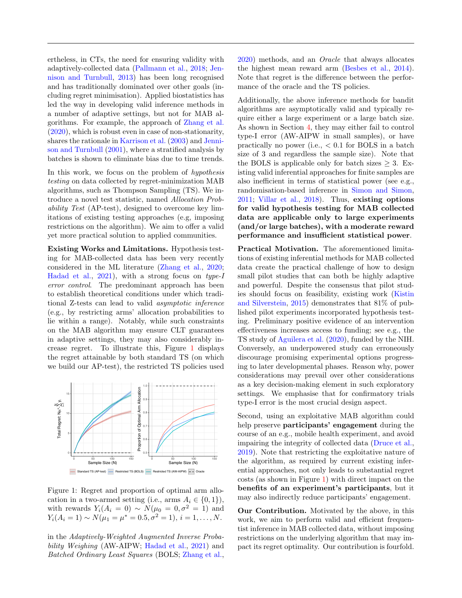ertheless, in CTs, the need for ensuring validity with adaptively-collected data [\(Pallmann et al.,](#page-9-8) [2018;](#page-9-8) [Jen](#page-9-9)[nison and Turnbull,](#page-9-9) [2013\)](#page-9-9) has been long recognised and has traditionally dominated over other goals (including regret minimisation). Applied biostatistics has led the way in developing valid inference methods in a number of adaptive settings, but not for MAB algorithms. For example, the approach of [Zhang et al.](#page-10-1) [\(2020\)](#page-10-1), which is robust even in case of non-stationarity, shares the rationale in [Karrison et al.](#page-9-10) [\(2003\)](#page-9-10) and [Jenni](#page-9-11)[son and Turnbull](#page-9-11) [\(2001\)](#page-9-11), where a stratified analysis by batches is shown to eliminate bias due to time trends.

In this work, we focus on the problem of *hypothesis* testing on data collected by regret-minimization MAB algorithms, such as Thompson Sampling (TS). We introduce a novel test statistic, named Allocation Probability Test (AP-test), designed to overcome key limitations of existing testing approaches (e.g, imposing restrictions on the algorithm). We aim to offer a valid yet more practical solution to applied communities.

Existing Works and Limitations. Hypothesis testing for MAB-collected data has been very recently considered in the ML literature [\(Zhang et al.,](#page-10-1) [2020;](#page-10-1) [Hadad et al.,](#page-9-2) [2021\)](#page-9-2), with a strong focus on type-I error control. The predominant approach has been to establish theoretical conditions under which traditional Z-tests can lead to valid asymptotic inference (e.g., by restricting arms' allocation probabilities to lie within a range). Notably, while such constraints on the MAB algorithm may ensure CLT guarantees in adaptive settings, they may also considerably increase regret. To illustrate this, Figure [1](#page-1-0) displays the regret attainable by both standard TS (on which we build our AP-test), the restricted TS policies used



<span id="page-1-0"></span>Figure 1: Regret and proportion of optimal arm allocation in a two-armed setting (i.e., arms  $A_i \in \{0, 1\}$ ), with rewards  $Y_i(A_i = 0) \sim N(\mu_0 = 0, \sigma^2 = 1)$  and  $Y_i(A_i = 1) \sim N(\mu_1 = \mu^* = 0.5, \sigma^2 = 1), i = 1, \ldots, N.$ 

in the Adaptively-Weighted Augmented Inverse Proba-bility Weighing (AW-AIPW; [Hadad et al.,](#page-9-2) [2021\)](#page-9-2) and Batched Ordinary Least Squares (BOLS; [Zhang et al.,](#page-10-1)

[2020\)](#page-10-1) methods, and an Oracle that always allocates the highest mean reward arm [\(Besbes et al.,](#page-8-7) [2014\)](#page-8-7). Note that regret is the difference between the performance of the oracle and the TS policies.

Additionally, the above inference methods for bandit algorithms are asymptotically valid and typically require either a large experiment or a large batch size. As shown in Section [4,](#page-6-0) they may either fail to control type-I error (AW-AIPW in small samples), or have practically no power (i.e.,  $< 0.1$  for BOLS in a batch size of 3 and regardless the sample size). Note that the BOLS is applicable only for batch sizes  $> 3$ . Existing valid inferential approaches for finite samples are also inefficient in terms of statistical power (see e.g., randomisation-based inference in [Simon and Simon,](#page-9-12) [2011;](#page-9-12) [Villar et al.,](#page-10-3) [2018\)](#page-10-3). Thus, existing options for valid hypothesis testing for MAB collected data are applicable only to large experiments (and/or large batches), with a moderate reward performance and insufficient statistical power.

Practical Motivation. The aforementioned limitations of existing inferential methods for MAB collected data create the practical challenge of how to design small pilot studies that can both be highly adaptive and powerful. Despite the consensus that pilot studies should focus on feasibility, existing work [\(Kistin](#page-9-13) [and Silverstein,](#page-9-13) [2015\)](#page-9-13) demonstrates that 81% of published pilot experiments incorporated hypothesis testing. Preliminary positive evidence of an intervention effectiveness increases access to funding; see e.g., the TS study of [Aguilera et al.](#page-8-1) [\(2020\)](#page-8-1), funded by the NIH. Conversely, an underpowered study can erroneously discourage promising experimental options progressing to later developmental phases. Reason why, power considerations may prevail over other considerations as a key decision-making element in such exploratory settings. We emphasise that for confirmatory trials type-I error is the most crucial design aspect.

Second, using an exploitative MAB algorithm could help preserve participants' engagement during the course of an e.g., mobile health experiment, and avoid impairing the integrity of collected data [\(Druce et al.,](#page-8-8) [2019\)](#page-8-8). Note that restricting the exploitative nature of the algorithm, as required by current existing inferential approaches, not only leads to substantial regret costs (as shown in Figure [1\)](#page-1-0) with direct impact on the benefits of an experiment's participants, but it may also indirectly reduce participants' engagement.

Our Contribution. Motivated by the above, in this work, we aim to perform valid and efficient frequentist inference in MAB collected data, without imposing restrictions on the underlying algorithm that may impact its regret optimality. Our contribution is fourfold.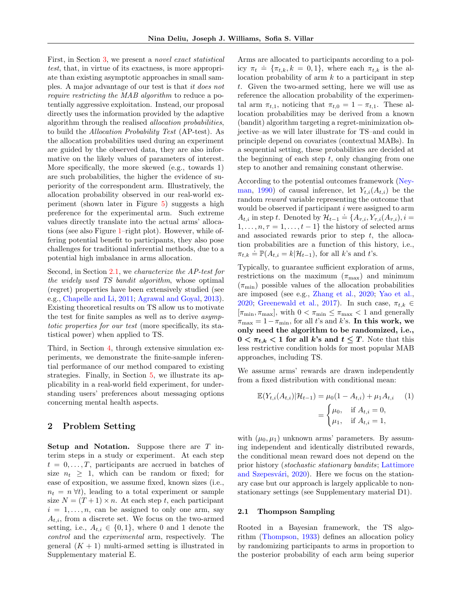First, in Section [3,](#page-3-0) we present a *novel exact statistical* test, that, in virtue of its exactness, is more appropriate than existing asymptotic approaches in small samples. A major advantage of our test is that it does not require restricting the MAB algorithm to reduce a potentially aggressive exploitation. Instead, our proposal directly uses the information provided by the adaptive algorithm through the realised allocation probabilities, to build the Allocation Probability Test (AP-test). As the allocation probabilities used during an experiment are guided by the observed data, they are also informative on the likely values of parameters of interest. More specifically, the more skewed (e.g., towards 1) are such probabilities, the higher the evidence of superiority of the correspondent arm. Illustratively, the allocation probability observed in our real-world experiment (shown later in Figure [5\)](#page-7-0) suggests a high preference for the experimental arm. Such extreme values directly translate into the actual arms' allocations (see also Figure [1–](#page-1-0)right plot). However, while offering potential benefit to participants, they also pose challenges for traditional inferential methods, due to a potential high imbalance in arms allocation.

Second, in Section [2.1,](#page-2-0) we *characterize the AP-test for* the widely used TS bandit algorithm, whose optimal (regret) properties have been extensively studied (see e.g., [Chapelle and Li,](#page-8-0) [2011;](#page-8-0) [Agrawal and Goyal,](#page-8-4) [2013\)](#page-8-4). Existing theoretical results on TS allow us to motivate the test for finite samples as well as to derive asymptotic properties for our test (more specifically, its statistical power) when applied to TS.

Third, in Section [4,](#page-6-0) through extensive simulation experiments, we demonstrate the finite-sample inferential performance of our method compared to existing strategies. Finally, in Section [5,](#page-7-1) we illustrate its applicability in a real-world field experiment, for understanding users' preferences about messaging options concerning mental health aspects.

## <span id="page-2-2"></span>2 Problem Setting

Setup and Notation. Suppose there are T interim steps in a study or experiment. At each step  $t = 0, \ldots, T$ , participants are accrued in batches of size  $n_t \geq 1$ , which can be random or fixed; for ease of exposition, we assume fixed, known sizes (i.e.,  $n_t = n \forall t$ , leading to a total experiment or sample size  $N = (T + 1) \times n$ . At each step t, each participant  $i = 1, \ldots, n$ , can be assigned to only one arm, say  $A_{t,i}$ , from a discrete set. We focus on the two-armed setting, i.e.,  $A_{t,i} \in \{0,1\}$ , where 0 and 1 denote the control and the experimental arm, respectively. The general  $(K + 1)$  multi-armed setting is illustrated in Supplementary material E.

Arms are allocated to participants according to a policy  $\pi_t \doteq {\pi_{t,k}, k = 0, 1}$ , where each  $\pi_{t,k}$  is the allocation probability of arm  $k$  to a participant in step t. Given the two-armed setting, here we will use as reference the allocation probability of the experimental arm  $\pi_{t,1}$ , noticing that  $\pi_{t,0} = 1 - \pi_{t,1}$ . These allocation probabilities may be derived from a known (bandit) algorithm targeting a regret-minimization objective–as we will later illustrate for TS–and could in principle depend on covariates (contextual MABs). In a sequential setting, these probabilities are decided at the beginning of each step  $t$ , only changing from one step to another and remaining constant otherwise.

According to the potential outcomes framework [\(Ney](#page-9-14)[man,](#page-9-14) [1990\)](#page-9-14) of causal inference, let  $Y_{t,i}(A_{t,i})$  be the random reward variable representing the outcome that would be observed if participant  $i$  were assigned to arm Would be observed a participant *i* were assigned to arm<br> $A_{t,i}$  in step t. Denoted by  $\mathcal{H}_{t-1} \doteq \{A_{\tau,i}, Y_{\tau,i}(A_{\tau,i}), i =$  $1, \ldots, n, \tau = 1, \ldots, t-1$ } the history of selected arms and associated rewards prior to step  $t$ , the allocation probabilities are a function of this history, i.e.,  $\pi_{t,k} \doteq \mathbb{P}(A_{t,i} = k | \mathcal{H}_{t-1})$ , for all k's and t's.

Typically, to guarantee sufficient exploration of arms, restrictions on the maximum  $(\pi_{\text{max}})$  and minimum  $(\pi_{\min})$  possible values of the allocation probabilities are imposed (see e.g., [Zhang et al.,](#page-10-1) [2020;](#page-10-1) [Yao et al.,](#page-10-2) [2020;](#page-10-2) [Greenewald et al.,](#page-9-15) [2017\)](#page-9-15). In such case,  $\pi_{t,k} \in$  $[\pi_{\min}, \pi_{\max}]$ , with  $0 < \pi_{\min} \leq \pi_{\max} < 1$  and generally  $\pi_{\text{max}} = 1 - \pi_{\text{min}}$ , for all t's and k's. In this work, we only need the algorithm to be randomized, i.e.,  $0 < \pi_{t,k} < 1$  for all k's and  $t \leq T$ . Note that this less restrictive condition holds for most popular MAB approaches, including TS.

We assume arms' rewards are drawn independently from a fixed distribution with conditional mean:

<span id="page-2-1"></span>
$$
\mathbb{E}(Y_{t,i}(A_{t,i})|\mathcal{H}_{t-1}) = \mu_0(1 - A_{t,i}) + \mu_1 A_{t,i} \qquad (1)
$$

$$
= \begin{cases} \mu_0, & \text{if } A_{t,i} = 0, \\ \mu_1, & \text{if } A_{t,i} = 1, \end{cases}
$$

with  $(\mu_0, \mu_1)$  unknown arms' parameters. By assuming independent and identically distributed rewards, the conditional mean reward does not depend on the prior history (stochastic stationary bandits; [Lattimore](#page-9-16) and Szepesvári, [2020\)](#page-9-16). Here we focus on the stationary case but our approach is largely applicable to nonstationary settings (see Supplementary material D1).

#### <span id="page-2-0"></span>2.1 Thompson Sampling

Rooted in a Bayesian framework, the TS algorithm [\(Thompson,](#page-9-17) [1933\)](#page-9-17) defines an allocation policy by randomizing participants to arms in proportion to the posterior probability of each arm being superior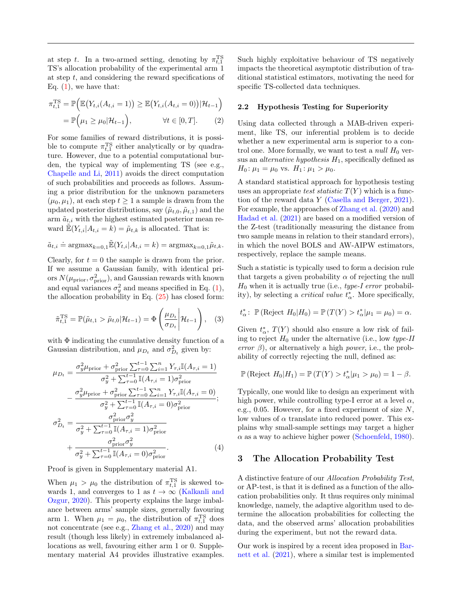at step t. In a two-armed setting, denoting by  $\pi_{t,1}^{\text{TS}}$ TS's allocation probability of the experimental arm 1 at step t, and considering the reward specifications of Eq.  $(1)$ , we have that:

$$
\pi_{t,1}^{\text{TS}} = \mathbb{P}\Big(\mathbb{E}\big(Y_{t,i}(A_{t,i}=1)\big) \ge \mathbb{E}\big(Y_{t,i}(A_{t,i}=0)\big) | \mathcal{H}_{t-1}\Big)
$$

$$
= \mathbb{P}\Big(\mu_1 \ge \mu_0 | \mathcal{H}_{t-1}\Big), \qquad \forall t \in [0,T]. \tag{2}
$$

For some families of reward distributions, it is possible to compute  $\pi_{t,1}^{\text{TS}}$  either analytically or by quadrature. However, due to a potential computational burden, the typical way of implementing TS (see e.g., [Chapelle and Li,](#page-8-0) [2011\)](#page-8-0) avoids the direct computation of such probabilities and proceeds as follows. Assuming a prior distribution for the unknown parameters  $(\mu_0, \mu_1)$ , at each step  $t > 1$  a sample is drawn from the updated posterior distributions, say  $(\tilde{\mu}_{t,0}, \tilde{\mu}_{t,1})$  and the arm  $\tilde{a}_{t,i}$  with the highest estimated posterior mean reward  $\mathbb{E}(Y_{t,i}|A_{t,i} = k) = \tilde{\mu}_{t,k}$  is allocated. That is:

$$
\tilde{a}_{t,i} \doteq \text{argmax}_{k=0,1} \tilde{\mathbb{E}}(Y_{t,i} | A_{t,i} = k) = \text{argmax}_{k=0,1} \tilde{\mu}_{t,k}.
$$

Clearly, for  $t = 0$  the sample is drawn from the prior. If we assume a Gaussian family, with identical priors  $N(\mu_{\text{prior}}, \sigma_{\text{prior}}^2)$ , and Gaussian rewards with known and equal variances  $\sigma_y^2$  and means specified in Eq. [\(1\)](#page-2-1), the allocation probability in Eq.  $(25)$  has closed form:

$$
\tilde{\pi}_{t,1}^{\text{TS}} = \mathbb{P}(\tilde{\mu}_{t,1} > \tilde{\mu}_{t,0} | \mathcal{H}_{t-1}) = \Phi\left(\frac{\mu_{D_t}}{\sigma_{D_t}} \middle| \mathcal{H}_{t-1}\right), \quad (3)
$$

with  $\Phi$  indicating the cumulative density function of a Gaussian distribution, and  $\mu_{D_t}$  and  $\sigma_{D_t}^2$  given by:

$$
\mu_{D_t} = \frac{\sigma_y^2 \mu_{\text{prior}} + \sigma_{\text{prior}}^2 \sum_{\tau=0}^{t-1} \sum_{i=1}^n Y_{\tau,i} \mathbb{I}(A_{\tau,i} = 1)}{\sigma_y^2 + \sum_{\tau=0}^{t-1} \mathbb{I}(A_{\tau,i} = 1) \sigma_{\text{prior}}^2}
$$

$$
- \frac{\sigma_y^2 \mu_{\text{prior}} + \sigma_{\text{prior}}^2 \sum_{\tau=0}^{t-1} \sum_{i=1}^n Y_{\tau,i} \mathbb{I}(A_{\tau,i} = 0)}{\sigma_y^2 + \sum_{\tau=0}^{t-1} \mathbb{I}(A_{\tau,i} = 0) \sigma_{\text{prior}}^2};
$$

$$
\sigma_{D_t}^2 = \frac{\sigma_{\text{prior}}^2 \sigma_y^2}{\sigma_y^2 + \sum_{\tau=0}^{t-1} \mathbb{I}(A_{\tau,i} = 1) \sigma_{\text{prior}}^2}
$$

$$
+ \frac{\sigma_{\text{prior}}^2 \sigma_y^2}{\sigma_y^2 + \sum_{\tau=0}^{t-1} \mathbb{I}(A_{\tau,i} = 0) \sigma_{\text{prior}}^2}.
$$
(4)

Proof is given in Supplementary material A1.

When  $\mu_1 > \mu_0$  the distribution of  $\pi_{t,1}^{\text{TS}}$  is skewed towards 1, and converges to 1 as  $t \to \infty$  [\(Kalkanli and](#page-9-18) [Ozgur,](#page-9-18) [2020\)](#page-9-18). This property explains the large imbalance between arms' sample sizes, generally favouring arm 1. When  $\mu_1 = \mu_0$ , the distribution of  $\pi_{t,1}^{TS}$  does not concentrate (see e.g., [Zhang et al.,](#page-10-1) [2020\)](#page-10-1) and may result (though less likely) in extremely imbalanced allocations as well, favouring either arm 1 or 0. Supplementary material A4 provides illustrative examples.

Such highly exploitative behaviour of TS negatively impacts the theoretical asymptotic distribution of traditional statistical estimators, motivating the need for specific TS-collected data techniques.

#### <span id="page-3-1"></span>2.2 Hypothesis Testing for Superiority

Using data collected through a MAB-driven experiment, like TS, our inferential problem is to decide whether a new experimental arm is superior to a control one. More formally, we want to test a *null H*<sub>0</sub> versus an *alternative hypothesis*  $H_1$ , specifically defined as  $H_0: \mu_1 = \mu_0$  vs.  $H_1: \mu_1 > \mu_0$ .

A standard statistical approach for hypothesis testing uses an appropriate test statistic  $T(Y)$  which is a function of the reward data Y [\(Casella and Berger,](#page-8-9) [2021\)](#page-8-9). For example, the approaches of [Zhang et al.](#page-10-1) [\(2020\)](#page-10-1) and [Hadad et al.](#page-9-2) [\(2021\)](#page-9-2) are based on a modified version of the Z-test (traditionally measuring the distance from two sample means in relation to their standard errors), in which the novel BOLS and AW-AIPW estimators, respectively, replace the sample means.

Such a statistic is typically used to form a decision rule that targets a given probability  $\alpha$  of rejecting the null  $H_0$  when it is actually true (i.e., type-I error probability), by selecting a *critical value*  $t^*_{\alpha}$ . More specifically,

<span id="page-3-3"></span>
$$
t^*_{\alpha} \colon \mathbb{P}\left(\text{Reject } H_0 | H_0\right) = \mathbb{P}\left(T(Y) > t^*_{\alpha} | \mu_1 = \mu_0\right) = \alpha.
$$

Given  $t^*_{\alpha}$ ,  $T(Y)$  should also ensure a low risk of failing to reject  $H_0$  under the alternative (i.e., low type-II error  $\beta$ ), or alternatively a high power, i.e., the probability of correctly rejecting the null, defined as:

$$
\mathbb{P}(\text{Reject } H_0|H_1) = \mathbb{P}(T(Y) > t^*_{\alpha}|\mu_1 > \mu_0) = 1 - \beta.
$$

Typically, one would like to design an experiment with high power, while controlling type-I error at a level  $\alpha$ , e.g., 0.05. However, for a fixed experiment of size  $N$ , low values of  $\alpha$  translate into reduced power. This explains why small-sample settings may target a higher  $\alpha$  as a way to achieve higher power [\(Schoenfeld,](#page-9-19) [1980\)](#page-9-19).

## <span id="page-3-2"></span><span id="page-3-0"></span>3 The Allocation Probability Test

A distinctive feature of our Allocation Probability Test, or AP-test, is that it is defined as a function of the allocation probabilities only. It thus requires only minimal knowledge, namely, the adaptive algorithm used to determine the allocation probabilities for collecting the data, and the observed arms' allocation probabilities during the experiment, but not the reward data.

Our work is inspired by a recent idea proposed in [Bar](#page-8-10)[nett et al.](#page-8-10) [\(2021\)](#page-8-10), where a similar test is implemented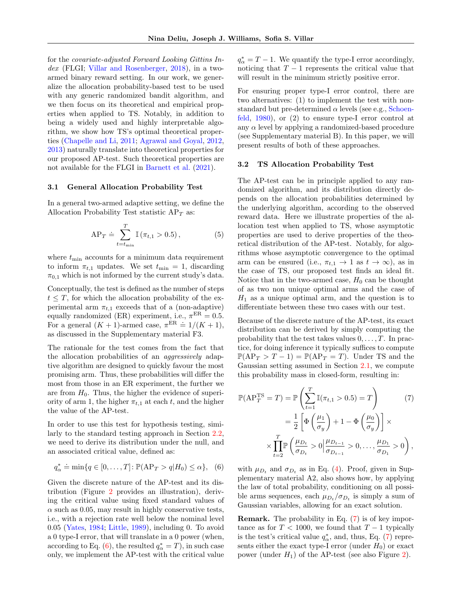for the covariate-adjusted Forward Looking Gittins In-dex (FLGI; [Villar and Rosenberger,](#page-10-4) [2018\)](#page-10-4), in a twoarmed binary reward setting. In our work, we generalize the allocation probability-based test to be used with any generic randomized bandit algorithm, and we then focus on its theoretical and empirical properties when applied to TS. Notably, in addition to being a widely used and highly interpretable algorithm, we show how TS's optimal theoretical properties [\(Chapelle and Li,](#page-8-0) [2011;](#page-8-0) [Agrawal and Goyal,](#page-8-11) [2012,](#page-8-11) [2013\)](#page-8-4) naturally translate into theoretical properties for our proposed AP-test. Such theoretical properties are not available for the FLGI in [Barnett et al.](#page-8-10) [\(2021\)](#page-8-10).

#### 3.1 General Allocation Probability Test

In a general two-armed adaptive setting, we define the Allocation Probability Test statistic  $AP<sub>T</sub>$  as:

$$
AP_T \doteq \sum_{t=t_{\min}}^{T} \mathbb{I}(\pi_{t,1} > 0.5), \qquad (5)
$$

where  $t_{\text{min}}$  accounts for a minimum data requirement to inform  $\pi_{t,1}$  updates. We set  $t_{\min} = 1$ , discarding  $\pi_{0,1}$  which is not informed by the current study's data.

Conceptually, the test is defined as the number of steps  $t \leq T$ , for which the allocation probability of the experimental arm  $\pi_{t,1}$  exceeds that of a (non-adaptive) equally randomized (ER) experiment, i.e.,  $\pi^{ER} = 0.5$ . For a general  $(K + 1)$ -armed case,  $\pi^{\text{ER}} \doteq 1/(K + 1)$ , as discussed in the Supplementary material F3.

The rationale for the test comes from the fact that the allocation probabilities of an aggressively adaptive algorithm are designed to quickly favour the most promising arm. Thus, these probabilities will differ the most from those in an ER experiment, the further we are from  $H_0$ . Thus, the higher the evidence of superiority of arm 1, the higher  $\pi_{t,1}$  at each t, and the higher the value of the AP-test.

In order to use this test for hypothesis testing, similarly to the standard testing approach in Section [2.2,](#page-3-1) we need to derive its distribution under the null, and an associated critical value, defined as:

$$
q_{\alpha}^* \doteq \min\{q \in [0,\ldots,T] \colon \mathbb{P}(\text{AP}_T > q | H_0) \leq \alpha\}, \quad (6)
$$

Given the discrete nature of the AP-test and its distribution (Figure [2](#page-5-0) provides an illustration), deriving the critical value using fixed standard values of  $\alpha$  such as 0.05, may result in highly conservative tests, i.e., with a rejection rate well below the nominal level 0.05 [\(Yates,](#page-10-5) [1984;](#page-10-5) [Little,](#page-9-20) [1989\)](#page-9-20), including 0. To avoid a 0 type-I error, that will translate in a 0 power (when, according to Eq.  $(6)$ , the resulted  $q^*_{\alpha} = T$ , in such case only, we implement the AP-test with the critical value

 $q^*_{\alpha} = T - 1$ . We quantify the type-I error accordingly, noticing that  $T-1$  represents the critical value that will result in the minimum strictly positive error.

For ensuring proper type-I error control, there are two alternatives: (1) to implement the test with nonstandard but pre-determined  $\alpha$  levels (see e.g., [Schoen](#page-9-19)[feld,](#page-9-19) [1980\)](#page-9-19), or (2) to ensure type-I error control at any  $\alpha$  level by applying a randomized-based procedure (see Supplementary material B). In this paper, we will present results of both of these approaches.

#### 3.2 TS Allocation Probability Test

The AP-test can be in principle applied to any randomized algorithm, and its distribution directly depends on the allocation probabilities determined by the underlying algorithm, according to the observed reward data. Here we illustrate properties of the allocation test when applied to TS, whose asymptotic properties are used to derive properties of the theoretical distribution of the AP-test. Notably, for algorithms whose asymptotic convergence to the optimal arm can be ensured (i.e.,  $\pi_{t,1} \to 1$  as  $t \to \infty$ ), as in the case of TS, our proposed test finds an ideal fit. Notice that in the two-armed case,  $H_0$  can be thought of as two non unique optimal arms and the case of  $H_1$  as a unique optimal arm, and the question is to differentiate between these two cases with our test.

Because of the discrete nature of the AP-test, its exact distribution can be derived by simply computing the probability that the test takes values  $0, \ldots, T$ . In practice, for doing inference it typically suffices to compute  $\mathbb{P}(AP_T > T - 1) = \mathbb{P}(AP_T = T)$ . Under TS and the Gaussian setting assumed in Section [2.1,](#page-2-0) we compute this probability mass in closed-form, resulting in:

<span id="page-4-1"></span>
$$
\mathbb{P}(\text{AP}_T^{\text{TS}} = T) = \mathbb{P}\left(\sum_{t=1}^T \mathbb{I}(\pi_{t,1} > 0.5) = T\right) \tag{7}
$$
\n
$$
= \frac{1}{2} \left[\Phi\left(\frac{\mu_1}{\sigma_y}\right) + 1 - \Phi\left(\frac{\mu_0}{\sigma_y}\right)\right] \times
$$
\n
$$
\times \prod_{t=2}^T \mathbb{P}\left(\frac{\mu_{D_t}}{\sigma_{D_t}} > 0 \middle| \frac{\mu_{D_{t-1}}}{\sigma_{D_{t-1}}} > 0, \dots, \frac{\mu_{D_1}}{\sigma_{D_1}} > 0\right),
$$

<span id="page-4-0"></span>with  $\mu_{D_t}$  and  $\sigma_{D_t}$  as in Eq. [\(4\)](#page-3-2). Proof, given in Supplementary material A2, also shows how, by applying the law of total probability, conditioning on all possible arms sequences, each  $\mu_{D_t}/\sigma_{D_t}$  is simply a sum of Gaussian variables, allowing for an exact solution.

Remark. The probability in Eq. [\(7\)](#page-4-1) is of key importance as for  $T < 1000$ , we found that  $T - 1$  typically is the test's critical value  $q^*_{\alpha}$ , and, thus, Eq. [\(7\)](#page-4-1) represents either the exact type-I error (under  $H_0$ ) or exact power (under  $H_1$ ) of the AP-test (see also Figure [2\)](#page-5-0).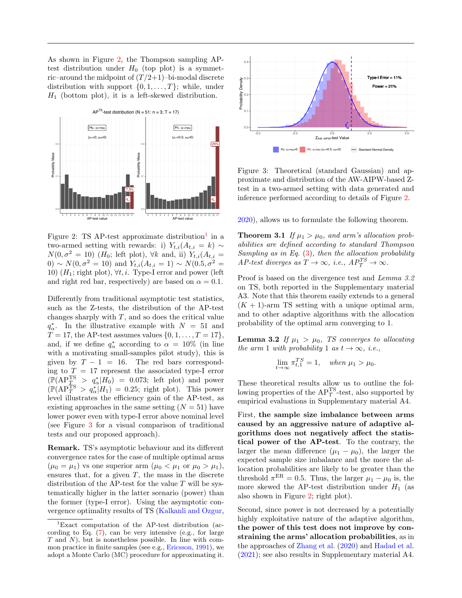As shown in Figure [2,](#page-5-0) the Thompson sampling APtest distribution under  $H_0$  (top plot) is a symmetric–around the midpoint of  $(T/2+1)$ –bi-modal discrete distribution with support  $\{0, 1, \ldots, T\}$ ; while, under  $H_1$  (bottom plot), it is a left-skewed distribution.



<span id="page-5-0"></span>Figure 2: TS AP-test approximate distribution<sup>[1](#page-5-1)</sup> in a two-armed setting with rewards: i)  $Y_{t,i}(A_{t,i} = k) \sim$  $N(0, \sigma^2 = 10)$  (H<sub>0</sub>; left plot),  $\forall k$  and, ii)  $Y_{t,i}(A_{t,i} =$  $0) \sim N(0, \sigma^2 = 10)$  and  $Y_{t,i}(A_{t,i} = 1) \sim N(0.5, \sigma^2 =$ 10)  $(H_1;$  right plot),  $\forall t, i$ . Type-I error and power (left and right red bar, respectively) are based on  $\alpha = 0.1$ .

Differently from traditional asymptotic test statistics, such as the Z-tests, the distribution of the AP-test changes sharply with  $T$ , and so does the critical value  $q^*_{\alpha}$ . In the illustrative example with  $N = 51$  and  $T = 17$ , the AP-test assumes values  $\{0, 1, \ldots, T = 17\}$ , and, if we define  $q^*_{\alpha}$  according to  $\alpha = 10\%$  (in line with a motivating small-samples pilot study), this is given by  $T - 1 = 16$ . The red bars corresponding to  $T = 17$  represent the associated type-I error  $(\mathbb{P}(AP_{T_{\alpha}}^{TS} > q_{\alpha}^*|H_0) = 0.073$ ; left plot) and power  $(\mathbb{P}(AP_T^{TS} > q_{\alpha}^*|H_1) = 0.25$ ; right plot). This power level illustrates the efficiency gain of the AP-test, as existing approaches in the same setting  $(N = 51)$  have lower power even with type-I error above nominal level (see Figure [3](#page-5-2) for a visual comparison of traditional tests and our proposed approach).

Remark. TS's asymptotic behaviour and its different convergence rates for the case of multiple optimal arms  $(\mu_0 = \mu_1)$  vs one superior arm  $(\mu_0 < \mu_1$  or  $\mu_0 > \mu_1)$ , ensures that, for a given  $T$ , the mass in the discrete distribution of the AP-test for the value  $T$  will be systematically higher in the latter scenario (power) than the former (type-I error). Using the asymptotic convergence optimality results of TS [\(Kalkanli and Ozgur,](#page-9-18)



<span id="page-5-2"></span>Figure 3: Theoretical (standard Gaussian) and approximate and distribution of the AW-AIPW-based Ztest in a two-armed setting with data generated and inference performed according to details of Figure [2.](#page-5-0)

[2020\)](#page-9-18), allows us to formulate the following theorem.

**Theorem 3.1** If  $\mu_1 > \mu_0$ , and arm's allocation probabilities are defined according to standard Thompson Sampling as in Eq.  $(3)$ , then the allocation probability AP-test diverges as  $T \to \infty$ , i.e.,  $AP_T^{TS} \to \infty$ .

Proof is based on the divergence test and Lemma 3.2 on TS, both reported in the Supplementary material A3. Note that this theorem easily extends to a general  $(K + 1)$ -arm TS setting with a unique optimal arm, and to other adaptive algorithms with the allocation probability of the optimal arm converging to 1.

**Lemma 3.2** If  $\mu_1 > \mu_0$ , TS converges to allocating the arm 1 with probability 1 as  $t \to \infty$ , i.e.,

$$
\lim_{t \to \infty} \pi_{t,1}^{TS} = 1, \quad when \ \mu_1 > \mu_0.
$$

These theoretical results allow us to outline the following properties of the  $AP_T^{TS}\text{-test}$ , also supported by empirical evaluations in Supplementary material A4.

First, the sample size imbalance between arms caused by an aggressive nature of adaptive algorithms does not negatively affect the statistical power of the AP-test. To the contrary, the larger the mean difference  $(\mu_1 - \mu_0)$ , the larger the expected sample size imbalance and the more the allocation probabilities are likely to be greater than the threshold  $\pi^{\text{ER}} = 0.5$ . Thus, the larger  $\mu_1 - \mu_0$  is, the more skewed the AP-test distribution under  $H_1$  (as also shown in Figure [2;](#page-5-0) right plot).

Second, since power is not decreased by a potentially highly exploitative nature of the adaptive algorithm, the power of this test does not improve by constraining the arms' allocation probabilities, as in the approaches of [Zhang et al.](#page-10-1) [\(2020\)](#page-10-1) and [Hadad et al.](#page-9-2) [\(2021\)](#page-9-2); see also results in Supplementary material A4.

<span id="page-5-1"></span> ${}^{1}$ Exact computation of the AP-test distribution (according to Eq.  $(7)$ , can be very intensive (e.g., for large  $T$  and  $N$ ), but is nonetheless possible. In line with common practice in finite samples (see e.g., [Ericsson,](#page-8-12) [1991\)](#page-8-12), we adopt a Monte Carlo (MC) procedure for approximating it.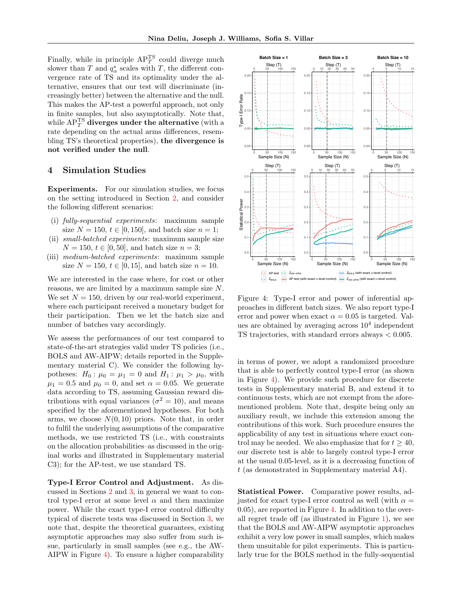Finally, while in principle  $AP_T^{TS}$  could diverge much slower than  $T$  and  $q^*_{\alpha}$  scales with  $T$ , the different convergence rate of TS and its optimality under the alternative, ensures that our test will discriminate (increasingly better) between the alternative and the null. This makes the AP-test a powerful approach, not only in finite samples, but also asymptotically. Note that, while  $\text{AP}_T^{\text{TS}}$  diverges under the alternative (with a rate depending on the actual arms differences, resembling TS's theoretical properties), the divergence is not verified under the null.

# <span id="page-6-0"></span>4 Simulation Studies

Experiments. For our simulation studies, we focus on the setting introduced in Section [2,](#page-2-2) and consider the following different scenarios:

- (i) fully-sequential experiments: maximum sample size  $N = 150, t \in [0, 150]$ , and batch size  $n = 1$ ;
- (ii) small-batched experiments: maximum sample size  $N = 150, t \in [0, 50]$ , and batch size  $n = 3$ ;
- (iii) medium-batched experiments: maximum sample size  $N = 150, t \in [0, 15]$ , and batch size  $n = 10$ .

We are interested in the case where, for cost or other reasons, we are limited by a maximum sample size N. We set  $N = 150$ , driven by our real-world experiment, where each participant received a monetary budget for their participation. Then we let the batch size and number of batches vary accordingly.

We assess the performances of our test compared to state-of-the-art strategies valid under TS policies (i.e., BOLS and AW-AIPW; details reported in the Supplementary material C). We consider the following hypotheses:  $H_0: \mu_0 = \mu_1 = 0$  and  $H_1: \mu_1 > \mu_0$ , with  $\mu_1 = 0.5$  and  $\mu_0 = 0$ , and set  $\alpha = 0.05$ . We generate data according to TS, assuming Gaussian reward distributions with equal variances ( $\sigma^2 = 10$ ), and means specified by the aforementioned hypotheses. For both arms, we choose  $N(0, 10)$  priors. Note that, in order to fulfil the underlying assumptions of the comparative methods, we use restricted TS (i.e., with constraints on the allocation probabilities–as discussed in the original works and illustrated in Supplementary material C3); for the AP-test, we use standard TS.

Type-I Error Control and Adjustment. As discussed in Sections [2](#page-2-2) and [3,](#page-3-0) in general we want to control type-I error at some level  $\alpha$  and then maximize power. While the exact type-I error control difficulty typical of discrete tests was discussed in Section [3,](#page-3-0) we note that, despite the theoretical guarantees, existing asymptotic approaches may also suffer from such issue, particularly in small samples (see e.g., the AW-AIPW in Figure [4\)](#page-6-1). To ensure a higher comparability



<span id="page-6-1"></span>Figure 4: Type-I error and power of inferential approaches in different batch sizes. We also report type-I error and power when exact  $\alpha = 0.05$  is targeted. Values are obtained by averaging across  $10<sup>4</sup>$  independent TS trajectories, with standard errors always < 0.005.

in terms of power, we adopt a randomized procedure that is able to perfectly control type-I error (as shown in Figure [4\)](#page-6-1). We provide such procedure for discrete tests in Supplementary material B, and extend it to continuous tests, which are not exempt from the aforementioned problem. Note that, despite being only an auxiliary result, we include this extension among the contributions of this work. Such procedure ensures the applicability of any test in situations where exact control may be needed. We also emphasize that for  $t \geq 40$ , our discrete test is able to largely control type-I error at the usual 0.05-level, as it is a decreasing function of t (as demonstrated in Supplementary material A4).

Statistical Power. Comparative power results, adjusted for exact type-I error control as well (with  $\alpha =$ 0.05), are reported in Figure [4.](#page-6-1) In addition to the overall regret trade off (as illustrated in Figure [1\)](#page-1-0), we see that the BOLS and AW-AIPW asymptotic approaches exhibit a very low power in small samples, which makes them unsuitable for pilot experiments. This is particularly true for the BOLS method in the fully-sequential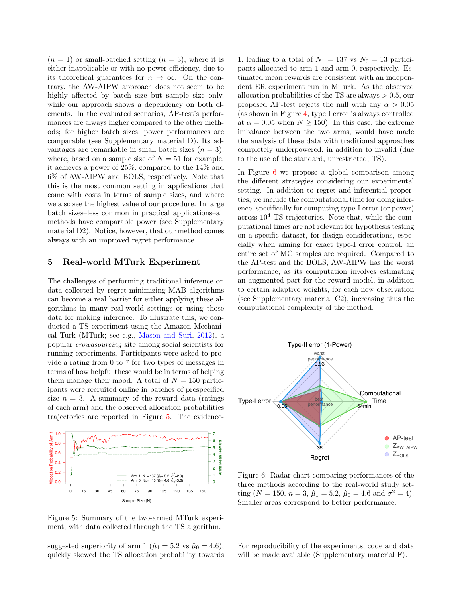$(n = 1)$  or small-batched setting  $(n = 3)$ , where it is either inapplicable or with no power efficiency, due to its theoretical guarantees for  $n \to \infty$ . On the contrary, the AW-AIPW approach does not seem to be highly affected by batch size but sample size only, while our approach shows a dependency on both elements. In the evaluated scenarios, AP-test's performances are always higher compared to the other methods; for higher batch sizes, power performances are comparable (see Supplementary material D). Its advantages are remarkable in small batch sizes  $(n = 3)$ , where, based on a sample size of  $N = 51$  for example, it achieves a power of 25%, compared to the 14% and 6% of AW-AIPW and BOLS, respectively. Note that this is the most common setting in applications that come with costs in terms of sample sizes, and where we also see the highest value of our procedure. In large batch sizes–less common in practical applications–all methods have comparable power (see Supplementary material D2). Notice, however, that our method comes always with an improved regret performance.

### <span id="page-7-1"></span>5 Real-world MTurk Experiment

The challenges of performing traditional inference on data collected by regret-minimizing MAB algorithms can become a real barrier for either applying these algorithms in many real-world settings or using those data for making inference. To illustrate this, we conducted a TS experiment using the Amazon Mechanical Turk (MTurk; see e.g., [Mason and Suri,](#page-9-21) [2012\)](#page-9-21), a popular crowdsourcing site among social scientists for running experiments. Participants were asked to provide a rating from 0 to 7 for two types of messages in terms of how helpful these would be in terms of helping them manage their mood. A total of  $N = 150$  participants were recruited online in batches of prespecified size  $n = 3$ . A summary of the reward data (ratings) of each arm) and the observed allocation probabilities trajectories are reported in Figure [5.](#page-7-0) The evidence-



<span id="page-7-0"></span>Figure 5: Summary of the two-armed MTurk experiment, with data collected through the TS algorithm.

suggested superiority of arm 1 ( $\hat{\mu}_1 = 5.2$  vs  $\hat{\mu}_0 = 4.6$ ), quickly skewed the TS allocation probability towards

1, leading to a total of  $N_1 = 137$  vs  $N_0 = 13$  participants allocated to arm 1 and arm 0, respectively. Estimated mean rewards are consistent with an independent ER experiment run in MTurk. As the observed allocation probabilities of the TS are always  $> 0.5$ , our proposed AP-test rejects the null with any  $\alpha > 0.05$ (as shown in Figure [4,](#page-6-1) type I error is always controlled at  $\alpha = 0.05$  when  $N \ge 150$ . In this case, the extreme imbalance between the two arms, would have made the analysis of these data with traditional approaches completely underpowered, in addition to invalid (due to the use of the standard, unrestricted, TS).

In Figure [6](#page-7-2) we propose a global comparison among the different strategies considering our experimental setting. In addition to regret and inferential properties, we include the computational time for doing inference, specifically for computing type-I error (or power) across  $10<sup>4</sup>$  TS trajectories. Note that, while the computational times are not relevant for hypothesis testing on a specific dataset, for design considerations, especially when aiming for exact type-I error control, an entire set of MC samples are required. Compared to the AP-test and the BOLS, AW-AIPW has the worst performance, as its computation involves estimating an augmented part for the reward model, in addition to certain adaptive weights, for each new observation (see Supplementary material C2), increasing thus the computational complexity of the method.



<span id="page-7-2"></span>Figure 6: Radar chart comparing performances of the three methods according to the real-world study setting ( $N = 150$ ,  $n = 3$ ,  $\hat{\mu}_1 = 5.2$ ,  $\hat{\mu}_0 = 4.6$  and  $\sigma^2 = 4$ ). Smaller areas correspond to better performance.

For reproducibility of the experiments, code and data will be made available (Supplementary material F).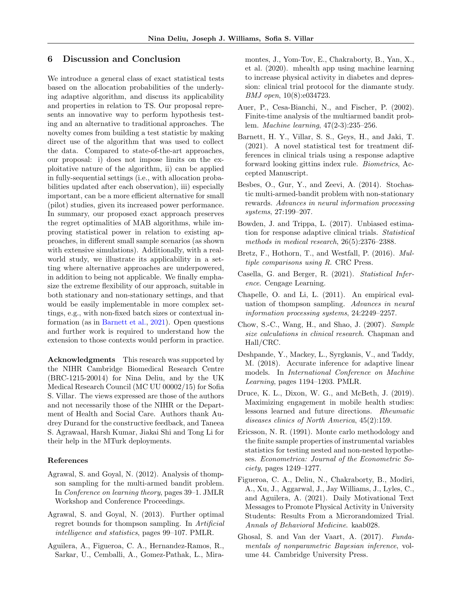## 6 Discussion and Conclusion

We introduce a general class of exact statistical tests based on the allocation probabilities of the underlying adaptive algorithm, and discuss its applicability and properties in relation to TS. Our proposal represents an innovative way to perform hypothesis testing and an alternative to traditional approaches. The novelty comes from building a test statistic by making direct use of the algorithm that was used to collect the data. Compared to state-of-the-art approaches, our proposal: i) does not impose limits on the exploitative nature of the algorithm, ii) can be applied in fully-sequential settings (i.e., with allocation probabilities updated after each observation), iii) especially important, can be a more efficient alternative for small (pilot) studies, given its increased power performance. In summary, our proposed exact approach preserves the regret optimalities of MAB algorithms, while improving statistical power in relation to existing approaches, in different small sample scenarios (as shown with extensive simulations). Additionally, with a realworld study, we illustrate its applicability in a setting where alternative approaches are underpowered, in addition to being not applicable. We finally emphasize the extreme flexibility of our approach, suitable in both stationary and non-stationary settings, and that would be easily implementable in more complex settings, e.g., with non-fixed batch sizes or contextual information (as in [Barnett et al.,](#page-8-10) [2021\)](#page-8-10). Open questions and further work is required to understand how the extension to those contexts would perform in practice.

Acknowledgments This research was supported by the NIHR Cambridge Biomedical Research Centre (BRC-1215-20014) for Nina Deliu, and by the UK Medical Research Council (MC UU 00002/15) for Sofia S. Villar. The views expressed are those of the authors and not necessarily those of the NIHR or the Department of Health and Social Care. Authors thank Audrey Durand for the constructive feedback, and Taneea S. Agrawaal, Harsh Kumar, Jiakai Shi and Tong Li for their help in the MTurk deployments.

#### References

- <span id="page-8-11"></span>Agrawal, S. and Goyal, N. (2012). Analysis of thompson sampling for the multi-armed bandit problem. In Conference on learning theory, pages 39–1. JMLR Workshop and Conference Proceedings.
- <span id="page-8-4"></span>Agrawal, S. and Goyal, N. (2013). Further optimal regret bounds for thompson sampling. In Artificial intelligence and statistics, pages 99–107. PMLR.
- <span id="page-8-1"></span>Aguilera, A., Figueroa, C. A., Hernandez-Ramos, R., Sarkar, U., Cemballi, A., Gomez-Pathak, L., Mira-

montes, J., Yom-Tov, E., Chakraborty, B., Yan, X., et al. (2020). mhealth app using machine learning to increase physical activity in diabetes and depression: clinical trial protocol for the diamante study. BMJ open, 10(8):e034723.

- <span id="page-8-3"></span>Auer, P., Cesa-Bianchi, N., and Fischer, P. (2002). Finite-time analysis of the multiarmed bandit problem. Machine learning, 47(2-3):235–256.
- <span id="page-8-10"></span>Barnett, H. Y., Villar, S. S., Geys, H., and Jaki, T. (2021). A novel statistical test for treatment differences in clinical trials using a response adaptive forward looking gittins index rule. Biometrics, Accepted Manuscript.
- <span id="page-8-7"></span>Besbes, O., Gur, Y., and Zeevi, A. (2014). Stochastic multi-armed-bandit problem with non-stationary rewards. Advances in neural information processing systems, 27:199–207.
- <span id="page-8-5"></span>Bowden, J. and Trippa, L. (2017). Unbiased estimation for response adaptive clinical trials. Statistical methods in medical research, 26(5):2376–2388.
- <span id="page-8-14"></span>Bretz, F., Hothorn, T., and Westfall, P. (2016). Multiple comparisons using R. CRC Press.
- <span id="page-8-9"></span>Casella, G. and Berger, R. (2021). Statistical Inference. Cengage Learning.
- <span id="page-8-0"></span>Chapelle, O. and Li, L. (2011). An empirical evaluation of thompson sampling. Advances in neural information processing systems, 24:2249–2257.
- <span id="page-8-15"></span>Chow, S.-C., Wang, H., and Shao, J. (2007). Sample size calculations in clinical research. Chapman and Hall/CRC.
- <span id="page-8-6"></span>Deshpande, Y., Mackey, L., Syrgkanis, V., and Taddy, M. (2018). Accurate inference for adaptive linear models. In International Conference on Machine Learning, pages 1194–1203. PMLR.
- <span id="page-8-8"></span>Druce, K. L., Dixon, W. G., and McBeth, J. (2019). Maximizing engagement in mobile health studies: lessons learned and future directions. Rheumatic diseases clinics of North America, 45(2):159.
- <span id="page-8-12"></span>Ericsson, N. R. (1991). Monte carlo methodology and the finite sample properties of instrumental variables statistics for testing nested and non-nested hypotheses. Econometrica: Journal of the Econometric Society, pages 1249–1277.
- <span id="page-8-2"></span>Figueroa, C. A., Deliu, N., Chakraborty, B., Modiri, A., Xu, J., Aggarwal, J., Jay Williams, J., Lyles, C., and Aguilera, A. (2021). Daily Motivational Text Messages to Promote Physical Activity in University Students: Results From a Microrandomized Trial. Annals of Behavioral Medicine. kaab028.
- <span id="page-8-13"></span>Ghosal, S. and Van der Vaart, A. (2017). Fundamentals of nonparametric Bayesian inference, volume 44. Cambridge University Press.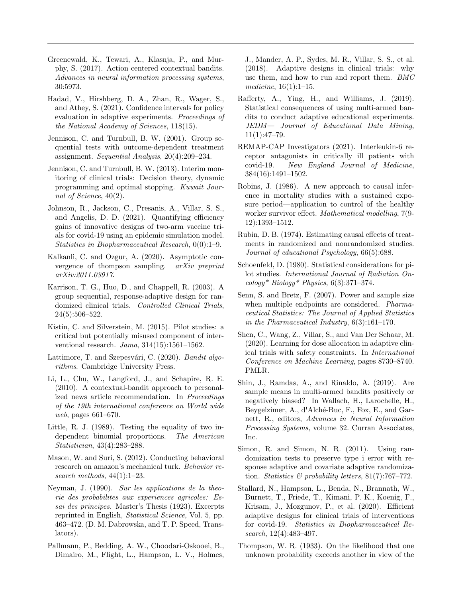- <span id="page-9-15"></span>Greenewald, K., Tewari, A., Klasnja, P., and Murphy, S. (2017). Action centered contextual bandits. Advances in neural information processing systems, 30:5973.
- <span id="page-9-2"></span>Hadad, V., Hirshberg, D. A., Zhan, R., Wager, S., and Athey, S. (2021). Confidence intervals for policy evaluation in adaptive experiments. Proceedings of the National Academy of Sciences, 118(15).
- <span id="page-9-11"></span>Jennison, C. and Turnbull, B. W. (2001). Group sequential tests with outcome-dependent treatment assignment. Sequential Analysis, 20(4):209–234.
- <span id="page-9-9"></span>Jennison, C. and Turnbull, B. W. (2013). Interim monitoring of clinical trials: Decision theory, dynamic programming and optimal stopping. Kuwait Journal of Science, 40(2).
- <span id="page-9-7"></span>Johnson, R., Jackson, C., Presanis, A., Villar, S. S., and Angelis, D. D. (2021). Quantifying efficiency gains of innovative designs of two-arm vaccine trials for covid-19 using an epidemic simulation model. Statistics in Biopharmaceutical Research, 0(0):1–9.
- <span id="page-9-18"></span>Kalkanli, C. and Ozgur, A. (2020). Asymptotic convergence of thompson sampling. arXiv preprint arXiv:2011.03917.
- <span id="page-9-10"></span>Karrison, T. G., Huo, D., and Chappell, R. (2003). A group sequential, response-adaptive design for randomized clinical trials. Controlled Clinical Trials, 24(5):506–522.
- <span id="page-9-13"></span>Kistin, C. and Silverstein, M. (2015). Pilot studies: a critical but potentially misused component of interventional research. Jama, 314(15):1561–1562.
- <span id="page-9-16"></span>Lattimore, T. and Szepesvári, C. (2020). Bandit algorithms. Cambridge University Press.
- <span id="page-9-0"></span>Li, L., Chu, W., Langford, J., and Schapire, R. E. (2010). A contextual-bandit approach to personalized news article recommendation. In Proceedings of the 19th international conference on World wide web, pages 661–670.
- <span id="page-9-20"></span>Little, R. J. (1989). Testing the equality of two independent binomial proportions. The American Statistician, 43(4):283–288.
- <span id="page-9-21"></span>Mason, W. and Suri, S. (2012). Conducting behavioral research on amazon's mechanical turk. Behavior research methods,  $44(1):1-23$ .
- <span id="page-9-14"></span>Neyman, J. (1990). Sur les applications de la theorie des probabilites aux experiences agricoles: Essai des principes. Master's Thesis (1923). Excerpts reprinted in English, Statistical Science, Vol. 5, pp. 463–472. (D. M. Dabrowska, and T. P. Speed, Translators).
- <span id="page-9-8"></span>Pallmann, P., Bedding, A. W., Choodari-Oskooei, B., Dimairo, M., Flight, L., Hampson, L. V., Holmes,

J., Mander, A. P., Sydes, M. R., Villar, S. S., et al. (2018). Adaptive designs in clinical trials: why use them, and how to run and report them. BMC medicine, 16(1):1–15.

- <span id="page-9-3"></span>Rafferty, A., Ying, H., and Williams, J. (2019). Statistical consequences of using multi-armed bandits to conduct adaptive educational experiments. JEDM— Journal of Educational Data Mining,  $11(1):47-79.$
- <span id="page-9-6"></span>REMAP-CAP Investigators (2021). Interleukin-6 receptor antagonists in critically ill patients with covid-19. New England Journal of Medicine, 384(16):1491–1502.
- <span id="page-9-23"></span>Robins, J. (1986). A new approach to causal inference in mortality studies with a sustained exposure period—application to control of the healthy worker survivor effect. Mathematical modelling, 7(9- 12):1393–1512.
- <span id="page-9-22"></span>Rubin, D. B. (1974). Estimating causal effects of treatments in randomized and nonrandomized studies. Journal of educational Psychology, 66(5):688.
- <span id="page-9-19"></span>Schoenfeld, D. (1980). Statistical considerations for pilot studies. International Journal of Radiation On- $\text{cology* Biology* Physics}, 6(3):371-374.$
- <span id="page-9-24"></span>Senn, S. and Bretz, F. (2007). Power and sample size when multiple endpoints are considered. *Pharma*ceutical Statistics: The Journal of Applied Statistics in the Pharmaceutical Industry, 6(3):161–170.
- <span id="page-9-5"></span>Shen, C., Wang, Z., Villar, S., and Van Der Schaar, M. (2020). Learning for dose allocation in adaptive clinical trials with safety constraints. In International Conference on Machine Learning, pages 8730–8740. PMLR.
- <span id="page-9-1"></span>Shin, J., Ramdas, A., and Rinaldo, A. (2019). Are sample means in multi-armed bandits positively or negatively biased? In Wallach, H., Larochelle, H., Beygelzimer, A., d'Alché-Buc, F., Fox, E., and Garnett, R., editors, Advances in Neural Information Processing Systems, volume 32. Curran Associates, Inc.
- <span id="page-9-12"></span>Simon, R. and Simon, N. R. (2011). Using randomization tests to preserve type i error with response adaptive and covariate adaptive randomization. Statistics & probability letters,  $81(7)$ :767–772.
- <span id="page-9-4"></span>Stallard, N., Hampson, L., Benda, N., Brannath, W., Burnett, T., Friede, T., Kimani, P. K., Koenig, F., Krisam, J., Mozgunov, P., et al. (2020). Efficient adaptive designs for clinical trials of interventions for covid-19. Statistics in Biopharmaceutical Research, 12(4):483–497.
- <span id="page-9-17"></span>Thompson, W. R. (1933). On the likelihood that one unknown probability exceeds another in view of the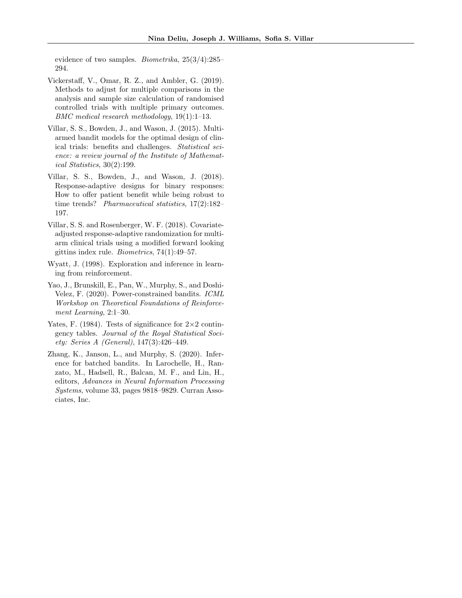evidence of two samples. Biometrika, 25(3/4):285– 294.

- <span id="page-10-7"></span>Vickerstaff, V., Omar, R. Z., and Ambler, G. (2019). Methods to adjust for multiple comparisons in the analysis and sample size calculation of randomised controlled trials with multiple primary outcomes. BMC medical research methodology, 19(1):1–13.
- <span id="page-10-0"></span>Villar, S. S., Bowden, J., and Wason, J. (2015). Multiarmed bandit models for the optimal design of clinical trials: benefits and challenges. Statistical science: a review journal of the Institute of Mathematical Statistics, 30(2):199.
- <span id="page-10-3"></span>Villar, S. S., Bowden, J., and Wason, J. (2018). Response-adaptive designs for binary responses: How to offer patient benefit while being robust to time trends? Pharmaceutical statistics, 17(2):182– 197.
- <span id="page-10-4"></span>Villar, S. S. and Rosenberger, W. F. (2018). Covariateadjusted response-adaptive randomization for multiarm clinical trials using a modified forward looking gittins index rule. Biometrics, 74(1):49–57.
- <span id="page-10-6"></span>Wyatt, J. (1998). Exploration and inference in learning from reinforcement.
- <span id="page-10-2"></span>Yao, J., Brunskill, E., Pan, W., Murphy, S., and Doshi-Velez, F. (2020). Power-constrained bandits. ICML Workshop on Theoretical Foundations of Reinforcement Learning, 2:1–30.
- <span id="page-10-5"></span>Yates, F. (1984). Tests of significance for  $2\times 2$  contingency tables. Journal of the Royal Statistical Society: Series A (General), 147(3):426–449.
- <span id="page-10-1"></span>Zhang, K., Janson, L., and Murphy, S. (2020). Inference for batched bandits. In Larochelle, H., Ranzato, M., Hadsell, R., Balcan, M. F., and Lin, H., editors, Advances in Neural Information Processing Systems, volume 33, pages 9818–9829. Curran Associates, Inc.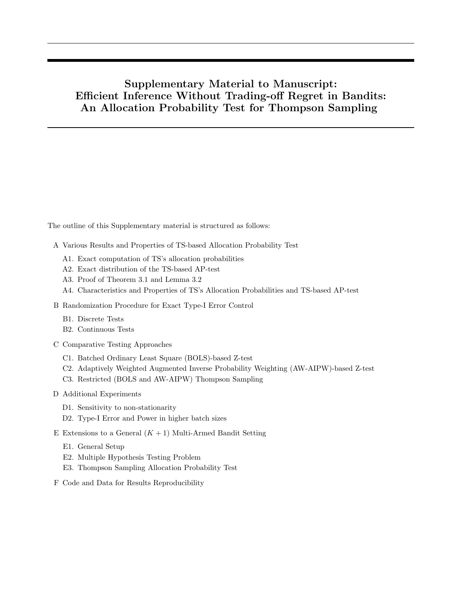# Supplementary Material to Manuscript: Efficient Inference Without Trading-off Regret in Bandits: An Allocation Probability Test for Thompson Sampling

The outline of this Supplementary material is structured as follows:

- A Various Results and Properties of TS-based Allocation Probability Test
	- A1. Exact computation of TS's allocation probabilities
	- A2. Exact distribution of the TS-based AP-test
	- A3. Proof of Theorem 3.1 and Lemma 3.2
	- A4. Characteristics and Properties of TS's Allocation Probabilities and TS-based AP-test
- B Randomization Procedure for Exact Type-I Error Control
	- B1. Discrete Tests
	- B2. Continuous Tests
- C Comparative Testing Approaches
	- C1. Batched Ordinary Least Square (BOLS)-based Z-test
	- C2. Adaptively Weighted Augmented Inverse Probability Weighting (AW-AIPW)-based Z-test
	- C3. Restricted (BOLS and AW-AIPW) Thompson Sampling
- D Additional Experiments
	- D1. Sensitivity to non-stationarity
	- D2. Type-I Error and Power in higher batch sizes
- E Extensions to a General  $(K + 1)$  Multi-Armed Bandit Setting
	- E1. General Setup
	- E2. Multiple Hypothesis Testing Problem
	- E3. Thompson Sampling Allocation Probability Test
- F Code and Data for Results Reproducibility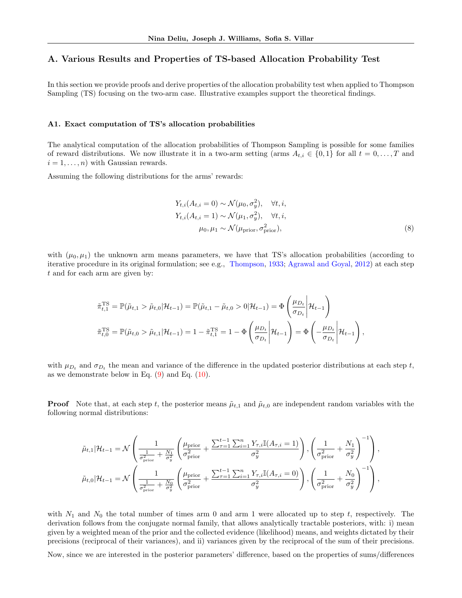# A. Various Results and Properties of TS-based Allocation Probability Test

In this section we provide proofs and derive properties of the allocation probability test when applied to Thompson Sampling (TS) focusing on the two-arm case. Illustrative examples support the theoretical findings.

#### A1. Exact computation of TS's allocation probabilities

The analytical computation of the allocation probabilities of Thompson Sampling is possible for some families of reward distributions. We now illustrate it in a two-arm setting (arms  $A_{t,i} \in \{0,1\}$  for all  $t = 0,\ldots,T$  and  $i = 1, \ldots, n$  with Gaussian rewards.

Assuming the following distributions for the arms' rewards:

<span id="page-12-0"></span>
$$
Y_{t,i}(A_{t,i} = 0) \sim \mathcal{N}(\mu_0, \sigma_y^2), \quad \forall t, i,
$$
  
\n
$$
Y_{t,i}(A_{t,i} = 1) \sim \mathcal{N}(\mu_1, \sigma_y^2), \quad \forall t, i,
$$
  
\n
$$
\mu_0, \mu_1 \sim \mathcal{N}(\mu_{\text{prior}}, \sigma_{\text{prior}}^2),
$$
\n(8)

with  $(\mu_0, \mu_1)$  the unknown arm means parameters, we have that TS's allocation probabilities (according to iterative procedure in its original formulation; see e.g., [Thompson,](#page-9-17) [1933;](#page-9-17) [Agrawal and Goyal,](#page-8-11) [2012\)](#page-8-11) at each step t and for each arm are given by:

$$
\tilde{\pi}_{t,1}^{\text{TS}} = \mathbb{P}(\tilde{\mu}_{t,1} > \tilde{\mu}_{t,0} | \mathcal{H}_{t-1}) = \mathbb{P}(\tilde{\mu}_{t,1} - \tilde{\mu}_{t,0} > 0 | \mathcal{H}_{t-1}) = \Phi\left(\frac{\mu_{D_t}}{\sigma_{D_t}} \middle| \mathcal{H}_{t-1}\right)
$$
\n
$$
\tilde{\pi}_{t,0}^{\text{TS}} = \mathbb{P}(\tilde{\mu}_{t,0} > \tilde{\mu}_{t,1} | \mathcal{H}_{t-1}) = 1 - \tilde{\pi}_{t,1}^{\text{TS}} = 1 - \Phi\left(\frac{\mu_{D_t}}{\sigma_{D_t}} \middle| \mathcal{H}_{t-1}\right) = \Phi\left(-\frac{\mu_{D_t}}{\sigma_{D_t}} \middle| \mathcal{H}_{t-1}\right),
$$

with  $\mu_{D_t}$  and  $\sigma_{D_t}$  the mean and variance of the difference in the updated posterior distributions at each step t, as we demonstrate below in Eq.  $(9)$  and Eq.  $(10)$ .

**Proof** Note that, at each step t, the posterior means  $\tilde{\mu}_{t,1}$  and  $\tilde{\mu}_{t,0}$  are independent random variables with the following normal distributions:

$$
\tilde{\mu}_{t,1}|\mathcal{H}_{t-1} = \mathcal{N}\left(\frac{1}{\sigma_{\text{prior}}^2 + \frac{N_1}{\sigma_y^2}} \left(\frac{\mu_{\text{prior}}}{\sigma_{\text{prior}}^2} + \frac{\sum_{\tau=1}^{t-1} \sum_{i=1}^n Y_{\tau,i} \mathbb{I}(A_{\tau,i} = 1)}{\sigma_y^2}\right), \left(\frac{1}{\sigma_{\text{prior}}^2} + \frac{N_1}{\sigma_y^2}\right)^{-1}\right),
$$
\n
$$
\tilde{\mu}_{t,0}|\mathcal{H}_{t-1} = \mathcal{N}\left(\frac{1}{\sigma_{\text{prior}}^2 + \frac{N_0}{\sigma_y^2}} \left(\frac{\mu_{\text{prior}}}{\sigma_{\text{prior}}^2} + \frac{\sum_{\tau=1}^{t-1} \sum_{i=1}^n Y_{\tau,i} \mathbb{I}(A_{\tau,i} = 0)}{\sigma_y^2}\right), \left(\frac{1}{\sigma_{\text{prior}}^2} + \frac{N_0}{\sigma_y^2}\right)^{-1}\right),
$$

with  $N_1$  and  $N_0$  the total number of times arm 0 and arm 1 were allocated up to step t, respectively. The derivation follows from the conjugate normal family, that allows analytically tractable posteriors, with: i) mean given by a weighted mean of the prior and the collected evidence (likelihood) means, and weights dictated by their precisions (reciprocal of their variances), and ii) variances given by the reciprocal of the sum of their precisions.

Now, since we are interested in the posterior parameters' difference, based on the properties of sums/differences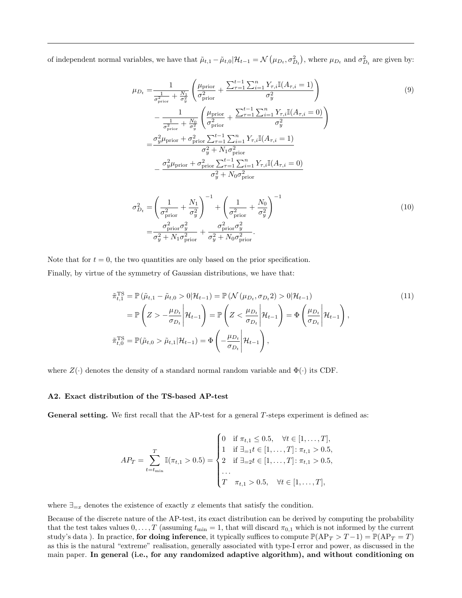of independent normal variables, we have that  $\tilde{\mu}_{t,1} - \tilde{\mu}_{t,0} | \mathcal{H}_{t-1} = \mathcal{N}(\mu_{D_t}, \sigma_{D_t}^2)$ , where  $\mu_{D_t}$  and  $\sigma_{D_t}^2$  are given by:

<span id="page-13-0"></span>
$$
\mu_{D_t} = \frac{1}{\frac{1}{\sigma_{\text{prior}}^2} + \frac{N_1}{\sigma_y^2}} \left( \frac{\mu_{\text{prior}}}{\sigma_{\text{prior}}^2} + \frac{\sum_{\tau=1}^{t-1} \sum_{i=1}^n Y_{\tau,i} \mathbb{I}(A_{\tau,i} = 1)}{\sigma_y^2} \right)
$$
\n
$$
- \frac{1}{\frac{1}{\sigma_{\text{prior}}^2} + \frac{N_0}{\sigma_y^2}} \left( \frac{\mu_{\text{prior}}}{\sigma_{\text{prior}}^2} + \frac{\sum_{\tau=1}^{t-1} \sum_{i=1}^n Y_{\tau,i} \mathbb{I}(A_{\tau,i} = 0)}{\sigma_y^2} \right)
$$
\n
$$
= \frac{\sigma_y^2 \mu_{\text{prior}} + \sigma_{\text{prior}}^2 \sum_{\tau=1}^{t-1} \sum_{i=1}^n Y_{\tau,i} \mathbb{I}(A_{\tau,i} = 1)}{\sigma_y^2 + N_1 \sigma_{\text{prior}}^2}
$$
\n
$$
- \frac{\sigma_y^2 \mu_{\text{prior}} + \sigma_{\text{prior}}^2 \sum_{\tau=1}^{t-1} \sum_{i=1}^n Y_{\tau,i} \mathbb{I}(A_{\tau,i} = 0)}{\sigma_y^2 + N_0 \sigma_{\text{prior}}^2}
$$
\n(9)

<span id="page-13-2"></span><span id="page-13-1"></span>
$$
\sigma_{D_t}^2 = \left(\frac{1}{\sigma_{\text{prior}}^2} + \frac{N_1}{\sigma_y^2}\right)^{-1} + \left(\frac{1}{\sigma_{\text{prior}}^2} + \frac{N_0}{\sigma_y^2}\right)^{-1}
$$
\n
$$
= \frac{\sigma_{\text{prior}}^2 \sigma_y^2}{\sigma_y^2 + N_1 \sigma_{\text{prior}}^2} + \frac{\sigma_{\text{prior}}^2 \sigma_y^2}{\sigma_y^2 + N_0 \sigma_{\text{prior}}^2}.
$$
\n(10)

Note that for  $t = 0$ , the two quantities are only based on the prior specification. Finally, by virtue of the symmetry of Gaussian distributions, we have that:

$$
\tilde{\pi}_{t,1}^{\text{TS}} = \mathbb{P} \left( \tilde{\mu}_{t,1} - \tilde{\mu}_{t,0} > 0 | \mathcal{H}_{t-1} \right) = \mathbb{P} \left( \mathcal{N} \left( \mu_{D_t}, \sigma_{D_t} 2 \right) > 0 | \mathcal{H}_{t-1} \right) \n= \mathbb{P} \left( Z > -\frac{\mu_{D_t}}{\sigma_{D_t}} \middle| \mathcal{H}_{t-1} \right) = \mathbb{P} \left( Z < \frac{\mu_{D_t}}{\sigma_{D_t}} \middle| \mathcal{H}_{t-1} \right) = \Phi \left( \frac{\mu_{D_t}}{\sigma_{D_t}} \middle| \mathcal{H}_{t-1} \right), \n\tilde{\pi}_{t,0}^{\text{TS}} = \mathbb{P}(\tilde{\mu}_{t,0} > \tilde{\mu}_{t,1} | \mathcal{H}_{t-1}) = \Phi \left( -\frac{\mu_{D_t}}{\sigma_{D_t}} \middle| \mathcal{H}_{t-1} \right),
$$
\n(11)

where  $Z(\cdot)$  denotes the density of a standard normal random variable and  $\Phi(\cdot)$  its CDF.

#### A2. Exact distribution of the TS-based AP-test

**General setting.** We first recall that the AP-test for a general  $T$ -steps experiment is defined as:

$$
AP_T = \sum_{t=t_{\min}}^T \mathbb{I}(\pi_{t,1} > 0.5) = \begin{cases} 0 & \text{if } \pi_{t,1} \leq 0.5, \quad \forall t \in [1,\dots,T], \\ 1 & \text{if } \exists_{=1} t \in [1,\dots,T] : \pi_{t,1} > 0.5, \\ 2 & \text{if } \exists_{=2} t \in [1,\dots,T] : \pi_{t,1} > 0.5, \\ \dots & \\ T & \pi_{t,1} > 0.5, \quad \forall t \in [1,\dots,T], \end{cases}
$$

where  $\exists_{=x}$  denotes the existence of exactly x elements that satisfy the condition.

Because of the discrete nature of the AP-test, its exact distribution can be derived by computing the probability that the test takes values  $0, \ldots, T$  (assuming  $t_{\min} = 1$ , that will discard  $\pi_{0,1}$  which is not informed by the current study's data). In practice, for doing inference, it typically suffices to compute  $\mathbb{P}(AP_T > T-1) = \mathbb{P}(AP_T = T)$ as this is the natural "extreme" realisation, generally associated with type-I error and power, as discussed in the main paper. In general (i.e., for any randomized adaptive algorithm), and without conditioning on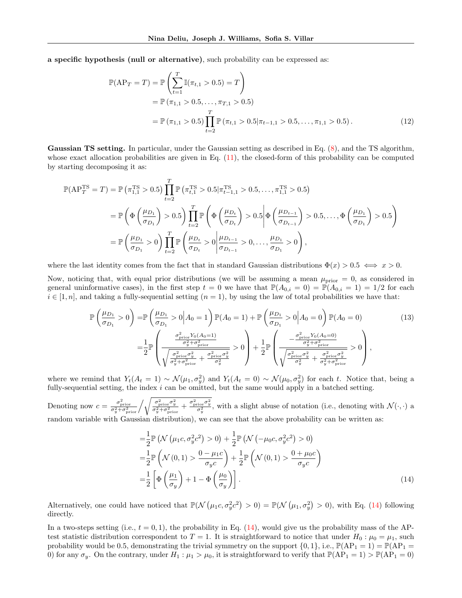a specific hypothesis (null or alternative), such probability can be expressed as:

$$
\mathbb{P}(AP_T = T) = \mathbb{P}\left(\sum_{t=1}^T \mathbb{I}(\pi_{t,1} > 0.5) = T\right)
$$
  
=  $\mathbb{P}(\pi_{1,1} > 0.5, ..., \pi_{T,1} > 0.5)$   
=  $\mathbb{P}(\pi_{1,1} > 0.5) \prod_{t=2}^T \mathbb{P}(\pi_{t,1} > 0.5 | \pi_{t-1,1} > 0.5, ..., \pi_{1,1} > 0.5).$  (12)

Gaussian TS setting. In particular, under the Gaussian setting as described in Eq. [\(8\)](#page-12-0), and the TS algorithm, whose exact allocation probabilities are given in Eq.  $(11)$ , the closed-form of this probability can be computed by starting decomposing it as:

$$
\mathbb{P}(AP_T^{TS} = T) = \mathbb{P}(\pi_{1,1}^{TS} > 0.5) \prod_{t=2}^{T} \mathbb{P}(\pi_{t,1}^{TS} > 0.5 | \pi_{t-1,1}^{TS} > 0.5, ..., \pi_{1,1}^{TS} > 0.5)
$$
  
\n
$$
= \mathbb{P}\left(\Phi\left(\frac{\mu_{D_1}}{\sigma_{D_1}}\right) > 0.5\right) \prod_{t=2}^{T} \mathbb{P}\left(\Phi\left(\frac{\mu_{D_t}}{\sigma_{D_t}}\right) > 0.5 | \Phi\left(\frac{\mu_{D_{t-1}}}{\sigma_{D_{t-1}}}\right) > 0.5, ..., \Phi\left(\frac{\mu_{D_1}}{\sigma_{D_1}}\right) > 0.5\right)
$$
  
\n
$$
= \mathbb{P}\left(\frac{\mu_{D_1}}{\sigma_{D_1}} > 0\right) \prod_{t=2}^{T} \mathbb{P}\left(\frac{\mu_{D_t}}{\sigma_{D_t}} > 0 | \frac{\mu_{D_{t-1}}}{\sigma_{D_{t-1}}} > 0, ..., \frac{\mu_{D_1}}{\sigma_{D_1}} > 0\right),
$$

where the last identity comes from the fact that in standard Gaussian distributions  $\Phi(x) > 0.5 \iff x > 0$ .

Now, noticing that, with equal prior distributions (we will be assuming a mean  $\mu_{\text{prior}} = 0$ , as considered in general uninformative cases), in the first step  $t = 0$  we have that  $\mathbb{P}(A_{0,i} = 0) = \mathbb{P}(A_{0,i} = 1) = 1/2$  for each  $i \in [1, n]$ , and taking a fully-sequential setting  $(n = 1)$ , by using the law of total probabilities we have that:

$$
\mathbb{P}\left(\frac{\mu_{D_1}}{\sigma_{D_1}} > 0\right) = \mathbb{P}\left(\frac{\mu_{D_1}}{\sigma_{D_1}} > 0 \middle| A_0 = 1\right) \mathbb{P}(A_0 = 1) + \mathbb{P}\left(\frac{\mu_{D_1}}{\sigma_{D_1}} > 0 \middle| A_0 = 0\right) \mathbb{P}(A_0 = 0) \tag{13}
$$
\n
$$
= \frac{1}{2} \mathbb{P}\left(\frac{\frac{\sigma_{\text{prior}}^2 Y_0 (A_0 = 1)}{\sigma_y^2 + \sigma_{\text{prior}}^2}}{\sqrt{\frac{\sigma_{\text{prior}}^2 \sigma_y^2}{\sigma_y^2 + \sigma_{\text{prior}}^2} + \frac{\sigma_{\text{prior}}^2 \sigma_y^2}{\sigma_y^2}}} > 0\right) + \frac{1}{2} \mathbb{P}\left(\frac{-\frac{\sigma_{\text{prior}}^2 Y_0 (A_0 = 0)}{\sigma_y^2 + \sigma_{\text{prior}}^2}}{\sqrt{\frac{\sigma_{\text{prior}}^2 \sigma_y^2}{\sigma_y^2 + \sigma_{\text{prior}}^2} + \frac{\sigma_{\text{prior}}^2 \sigma_y^2}{\sigma_y^2 + \sigma_{\text{prior}}^2}}}\right),
$$
\n
$$
(13)
$$

where we remind that  $Y_t(A_t = 1) \sim \mathcal{N}(\mu_1, \sigma_y^2)$  and  $Y_t(A_t = 0) \sim \mathcal{N}(\mu_0, \sigma_y^2)$  for each t. Notice that, being a fully-sequential setting, the index  $i$  can be omitted, but the same would apply in a batched setting.

Denoting now  $c = \frac{\sigma_{\text{prior}}^2}{\sigma_y^2 + \sigma_{\text{prior}}^2} / \sqrt{\frac{\sigma_{\text{prior}}^2 \sigma_y^2}{\sigma_y^2 + \sigma_{\text{prior}}^2} + \frac{\sigma_{\text{prior}}^2 \sigma_y^2}{\sigma_y^2}}$ , with a slight abuse of notation (i.e., denoting with  $\mathcal{N}(\cdot, \cdot)$  a random variable with Gaussian distribution), we can see that the above probability can be written as:

<span id="page-14-1"></span><span id="page-14-0"></span>
$$
= \frac{1}{2} \mathbb{P} \left( \mathcal{N} \left( \mu_1 c, \sigma_y^2 c^2 \right) > 0 \right) + \frac{1}{2} \mathbb{P} \left( \mathcal{N} \left( -\mu_0 c, \sigma_y^2 c^2 \right) > 0 \right)
$$
  
\n
$$
= \frac{1}{2} \mathbb{P} \left( \mathcal{N} \left( 0, 1 \right) > \frac{0 - \mu_1 c}{\sigma_y c} \right) + \frac{1}{2} \mathbb{P} \left( \mathcal{N} \left( 0, 1 \right) > \frac{0 + \mu_0 c}{\sigma_y c} \right)
$$
  
\n
$$
= \frac{1}{2} \left[ \Phi \left( \frac{\mu_1}{\sigma_y} \right) + 1 - \Phi \left( \frac{\mu_0}{\sigma_y} \right) \right].
$$
\n(14)

Alternatively, one could have noticed that  $\mathbb{P}(\mathcal{N}(\mu_1 c, \sigma_y^2 c^2) > 0) = \mathbb{P}(\mathcal{N}(\mu_1, \sigma_y^2) > 0)$ , with Eq. [\(14\)](#page-14-0) following directly.

In a two-steps setting (i.e.,  $t = 0, 1$ ), the probability in Eq. [\(14\)](#page-14-0), would give us the probability mass of the APtest statistic distribution correspondent to  $T = 1$ . It is straightforward to notice that under  $H_0: \mu_0 = \mu_1$ , such probability would be 0.5, demonstrating the trivial symmetry on the support  $\{0, 1\}$ , i.e.,  $\mathbb{P}(AP_1 = 1) = \mathbb{P}(AP_1 = 1)$ 0) for any  $\sigma_y$ . On the contrary, under  $H_1: \mu_1 > \mu_0$ , it is straightforward to verify that  $\mathbb{P}(AP_1 = 1) > \mathbb{P}(AP_1 = 0)$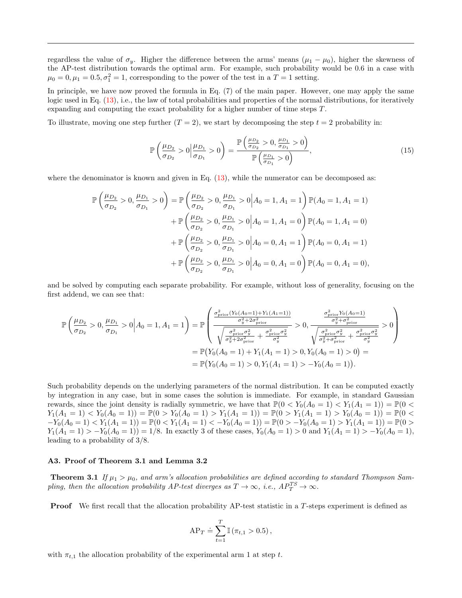regardless the value of  $\sigma_y$ . Higher the difference between the arms' means ( $\mu_1 - \mu_0$ ), higher the skewness of the AP-test distribution towards the optimal arm. For example, such probability would be 0.6 in a case with  $\mu_0 = 0, \mu_1 = 0.5, \sigma_1^2 = 1$ , corresponding to the power of the test in a  $T = 1$  setting.

In principle, we have now proved the formula in Eq. (7) of the main paper. However, one may apply the same logic used in Eq.  $(13)$ , i.e., the law of total probabilities and properties of the normal distributions, for iteratively expanding and computing the exact probability for a higher number of time steps T.

To illustrate, moving one step further  $(T = 2)$ , we start by decomposing the step  $t = 2$  probability in:

$$
\mathbb{P}\left(\frac{\mu_{D_2}}{\sigma_{D_2}} > 0 \middle| \frac{\mu_{D_1}}{\sigma_{D_1}} > 0\right) = \frac{\mathbb{P}\left(\frac{\mu_{D_2}}{\sigma_{D_2}} > 0, \frac{\mu_{D_1}}{\sigma_{D_1}} > 0\right)}{\mathbb{P}\left(\frac{\mu_{D_1}}{\sigma_{D_1}} > 0\right)},\tag{15}
$$

where the denominator is known and given in Eq.  $(13)$ , while the numerator can be decomposed as:

$$
\mathbb{P}\left(\frac{\mu_{D_2}}{\sigma_{D_2}} > 0, \frac{\mu_{D_1}}{\sigma_{D_1}} > 0\right) = \mathbb{P}\left(\frac{\mu_{D_2}}{\sigma_{D_2}} > 0, \frac{\mu_{D_1}}{\sigma_{D_1}} > 0 \middle| A_0 = 1, A_1 = 1\right) \mathbb{P}(A_0 = 1, A_1 = 1)
$$
  
+  $\mathbb{P}\left(\frac{\mu_{D_2}}{\sigma_{D_2}} > 0, \frac{\mu_{D_1}}{\sigma_{D_1}} > 0 \middle| A_0 = 1, A_1 = 0\right) \mathbb{P}(A_0 = 1, A_1 = 0)$   
+  $\mathbb{P}\left(\frac{\mu_{D_2}}{\sigma_{D_2}} > 0, \frac{\mu_{D_1}}{\sigma_{D_1}} > 0 \middle| A_0 = 0, A_1 = 1\right) \mathbb{P}(A_0 = 0, A_1 = 1)$   
+  $\mathbb{P}\left(\frac{\mu_{D_2}}{\sigma_{D_2}} > 0, \frac{\mu_{D_1}}{\sigma_{D_1}} > 0 \middle| A_0 = 0, A_1 = 0\right) \mathbb{P}(A_0 = 0, A_1 = 0),$ 

and be solved by computing each separate probability. For example, without loss of generality, focusing on the first addend, we can see that:

$$
\mathbb{P}\left(\frac{\mu_{D_2}}{\sigma_{D_2}} > 0, \frac{\mu_{D_1}}{\sigma_{D_1}} > 0 \middle| A_0 = 1, A_1 = 1\right) = \mathbb{P}\left(\frac{\frac{\sigma_{\text{prior}}^2 (Y_0(A_0=1) + Y_1(A_1=1))}{\sigma_y^2 + 2\sigma_{\text{prior}}^2}}{\sqrt{\frac{\sigma_{\text{prior}}^2 \sigma_y^2}{\sigma_y^2 + 2\sigma_{\text{prior}}^2} + \frac{\sigma_{\text{prior}}^2 \sigma_y^2}{\sigma_y^2}}} > 0, \frac{\frac{\sigma_{\text{prior}}^2 Y_0(A_0=1)}{\sigma_y^2 + \sigma_{\text{prior}}^2}}{\sqrt{\frac{\sigma_{\text{prior}}^2 \sigma_y^2}{\sigma_y^2 + \sigma_{\text{prior}}^2} + \frac{\sigma_{\text{prior}}^2 \sigma_y^2}{\sigma_y^2}}} > 0\right)
$$
  
\n
$$
= \mathbb{P}\left(Y_0(A_0=1) + Y_1(A_1=1) > 0, Y_0(A_0=1) > 0\right) =
$$
  
\n
$$
= \mathbb{P}\left(Y_0(A_0=1) > 0, Y_1(A_1=1) > -Y_0(A_0=1)\right).
$$

Such probability depends on the underlying parameters of the normal distribution. It can be computed exactly by integration in any case, but in some cases the solution is immediate. For example, in standard Gaussian rewards, since the joint density is radially symmetric, we have that  $\mathbb{P}(0 < Y_0(A_0 = 1) < Y_1(A_1 = 1)) = \mathbb{P}(0 <$  $Y_1(A_1 = 1) < Y_0(A_0 = 1) = \mathbb{P}(0 > Y_0(A_0 = 1) > Y_1(A_1 = 1)) = \mathbb{P}(0 > Y_1(A_1 = 1) > Y_0(A_0 = 1)) = \mathbb{P}(0 <$  $-Y_0(A_0 = 1) < Y_1(A_1 = 1) = \mathbb{P}(0 < Y_1(A_1 = 1) < -Y_0(A_0 = 1)) = \mathbb{P}(0 > -Y_0(A_0 = 1) > Y_1(A_1 = 1)) = \mathbb{P}(0 > 1)$  $Y_1(A_1 = 1) > -Y_0(A_0 = 1) = 1/8$ . In exactly 3 of these cases,  $Y_0(A_0 = 1) > 0$  and  $Y_1(A_1 = 1) > -Y_0(A_0 = 1)$ , leading to a probability of 3/8.

#### A3. Proof of Theorem 3.1 and Lemma 3.2

**Theorem 3.1** If  $\mu_1 > \mu_0$ , and arm's allocation probabilities are defined according to standard Thompson Sampling, then the allocation probability AP-test diverges as  $T \to \infty$ , i.e.,  $AP_T^{TS} \to \infty$ .

Proof We first recall that the allocation probability AP-test statistic in a T-steps experiment is defined as

$$
AP_T \doteq \sum_{t=1}^T \mathbb{I}(\pi_{t,1} > 0.5),
$$

with  $\pi_{t,1}$  the allocation probability of the experimental arm 1 at step t.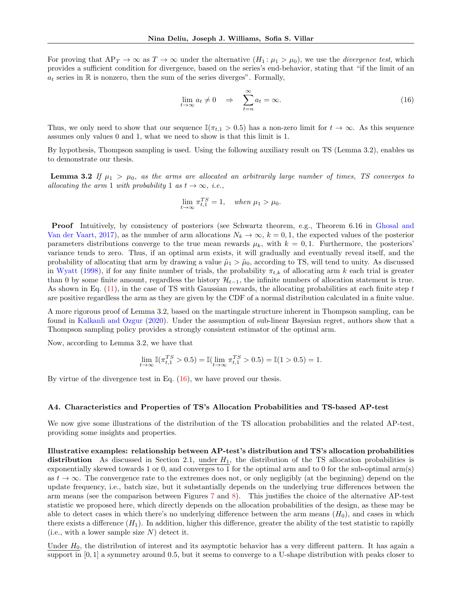For proving that  $AP_T \to \infty$  as  $T \to \infty$  under the alternative  $(H_1: \mu_1 > \mu_0)$ , we use the *divergence test*, which provides a sufficient condition for divergence, based on the series's end-behavior, stating that "if the limit of an  $a_t$  series in  $\mathbb R$  is nonzero, then the sum of the series diverges". Formally,

<span id="page-16-0"></span>
$$
\lim_{t \to \infty} a_t \neq 0 \quad \Rightarrow \quad \sum_{t=n}^{\infty} a_t = \infty. \tag{16}
$$

Thus, we only need to show that our sequence  $\mathbb{I}(\pi_{t,1} > 0.5)$  has a non-zero limit for  $t \to \infty$ . As this sequence assumes only values 0 and 1, what we need to show is that this limit is 1.

By hypothesis, Thompson sampling is used. Using the following auxiliary result on TS (Lemma 3.2), enables us to demonstrate our thesis.

**Lemma 3.2** If  $\mu_1 > \mu_0$ , as the arms are allocated an arbitrarily large number of times, TS converges to allocating the arm 1 with probability 1 as  $t \to \infty$ , i.e.,

$$
\lim_{t \to \infty} \pi_{t,1}^{TS} = 1, \quad when \ \mu_1 > \mu_0.
$$

Proof Intuitively, by consistency of posteriors (see Schwartz theorem, e.g., Theorem 6.16 in [Ghosal and](#page-8-13) [Van der Vaart,](#page-8-13) [2017\)](#page-8-13), as the number of arm allocations  $N_k \to \infty$ ,  $k = 0, 1$ , the expected values of the posterior parameters distributions converge to the true mean rewards  $\mu_k$ , with  $k = 0, 1$ . Furthermore, the posteriors' variance tends to zero. Thus, if an optimal arm exists, it will gradually and eventually reveal itself, and the probability of allocating that arm by drawing a value  $\tilde{\mu}_1 > \tilde{\mu}_0$ , according to TS, will tend to unity. As discussed in [Wyatt](#page-10-6) [\(1998\)](#page-10-6), if for any finite number of trials, the probability  $\pi_{t,k}$  of allocating arm k each trial is greater than 0 by some finite amount, regardless the history  $\mathcal{H}_{t-1}$ , the infinite numbers of allocation statement is true. As shown in Eq.  $(11)$ , in the case of TS with Gaussian rewards, the allocating probabilities at each finite step t are positive regardless the arm as they are given by the CDF of a normal distribution calculated in a finite value.

A more rigorous proof of Lemma 3.2, based on the martingale structure inherent in Thompson sampling, can be found in [Kalkanli and Ozgur](#page-9-18) [\(2020\)](#page-9-18). Under the assumption of sub-linear Bayesian regret, authors show that a Thompson sampling policy provides a strongly consistent estimator of the optimal arm.

Now, according to Lemma 3.2, we have that

$$
\lim_{t \to \infty} \mathbb{I}(\pi_{t,1}^{TS} > 0.5) = \mathbb{I}(\lim_{t \to \infty} \pi_{t,1}^{TS} > 0.5) = \mathbb{I}(1 > 0.5) = 1.
$$

By virtue of the divergence test in Eq.  $(16)$ , we have proved our thesis.

#### A4. Characteristics and Properties of TS's Allocation Probabilities and TS-based AP-test

We now give some illustrations of the distribution of the TS allocation probabilities and the related AP-test, providing some insights and properties.

Illustrative examples: relationship between AP-test's distribution and TS's allocation probabilities distribution As discussed in Section 2.1, under  $H_1$ , the distribution of the TS allocation probabilities is exponentially skewed towards 1 or 0, and converges to 1 for the optimal arm and to 0 for the sub-optimal arm(s) as  $t \to \infty$ . The convergence rate to the extremes does not, or only negligibly (at the beginning) depend on the update frequency, i.e., batch size, but it substantially depends on the underlying true differences between the arm means (see the comparison between Figures [7](#page-17-0) and [8\)](#page-17-1). This justifies the choice of the alternative AP-test statistic we proposed here, which directly depends on the allocation probabilities of the design, as these may be able to detect cases in which there's no underlying difference between the arm means  $(H_0)$ , and cases in which there exists a difference  $(H_1)$ . In addition, higher this difference, greater the ability of the test statistic to rapidly (i.e., with a lower sample size  $N$ ) detect it.

Under  $H_0$ , the distribution of interest and its asymptotic behavior has a very different pattern. It has again a support in [0, 1] a symmetry around 0.5, but it seems to converge to a U-shape distribution with peaks closer to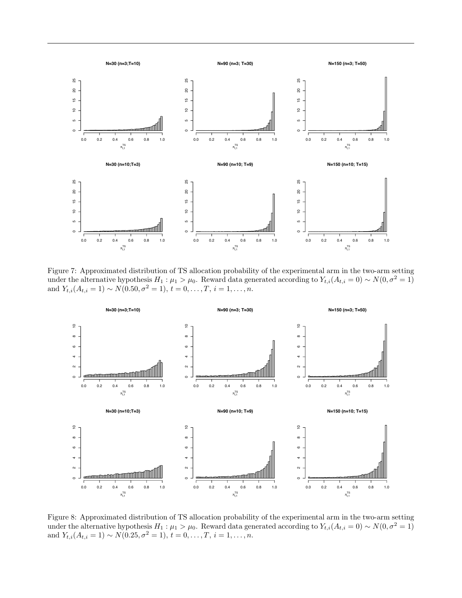

<span id="page-17-0"></span>Figure 7: Approximated distribution of TS allocation probability of the experimental arm in the two-arm setting under the alternative hypothesis  $H_1: \mu_1 > \mu_0$ . Reward data generated according to  $Y_{t,i}(A_{t,i} = 0) \sim N(0, \sigma^2 = 1)$ and  $Y_{t,i}(A_{t,i} = 1) \sim N(0.50, \sigma^2 = 1), t = 0, \ldots, T, i = 1, \ldots, n$ .



<span id="page-17-1"></span>Figure 8: Approximated distribution of TS allocation probability of the experimental arm in the two-arm setting under the alternative hypothesis  $H_1: \mu_1 > \mu_0$ . Reward data generated according to  $Y_{t,i}(A_{t,i} = 0) \sim N(0, \sigma^2 = 1)$ and  $Y_{t,i}(A_{t,i} = 1) \sim N(0.25, \sigma^2 = 1), t = 0, \ldots, T, i = 1, \ldots, n$ .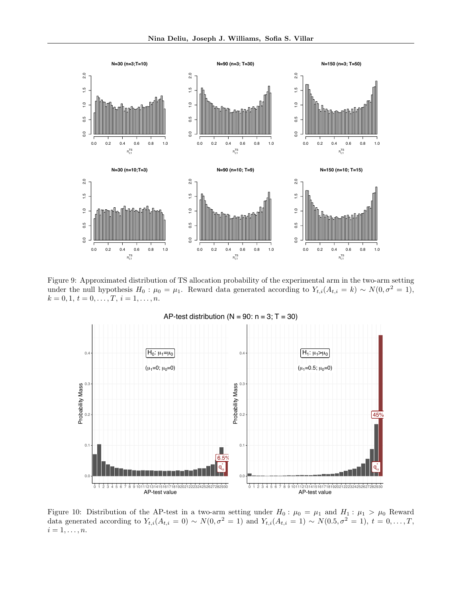

<span id="page-18-0"></span>Figure 9: Approximated distribution of TS allocation probability of the experimental arm in the two-arm setting under the null hypothesis  $H_0$ :  $\mu_0 = \mu_1$ . Reward data generated according to  $Y_{t,i}(A_{t,i} = k) \sim N(0, \sigma^2 = 1)$ ,  $k = 0, 1, t = 0, \ldots, T, i = 1, \ldots, n.$ 



<span id="page-18-1"></span>Figure 10: Distribution of the AP-test in a two-arm setting under  $H_0: \mu_0 = \mu_1$  and  $H_1: \mu_1 > \mu_0$  Reward data generated according to  $Y_{t,i}(A_{t,i} = 0) \sim N(0, \sigma^2 = 1)$  and  $Y_{t,i}(A_{t,i} = 1) \sim N(0.5, \sigma^2 = 1), t = 0, \ldots, T$ ,  $i=1,\ldots,n.$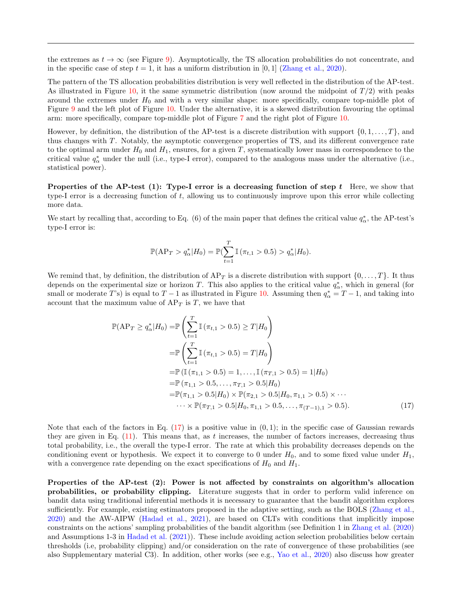the extremes as  $t \to \infty$  (see Figure [9\)](#page-18-0). Asymptotically, the TS allocation probabilities do not concentrate, and in the specific case of step  $t = 1$ , it has a uniform distribution in [0, 1] [\(Zhang et al.,](#page-10-1) [2020\)](#page-10-1).

The pattern of the TS allocation probabilities distribution is very well reflected in the distribution of the AP-test. As illustrated in Figure [10,](#page-18-1) it the same symmetric distribution (now around the midpoint of  $T/2$ ) with peaks around the extremes under  $H_0$  and with a very similar shape: more specifically, compare top-middle plot of Figure [9](#page-18-0) and the left plot of Figure [10.](#page-18-1) Under the alternative, it is a skewed distribution favouring the optimal arm: more specifically, compare top-middle plot of Figure [7](#page-17-0) and the right plot of Figure [10.](#page-18-1)

However, by definition, the distribution of the AP-test is a discrete distribution with support  $\{0, 1, \ldots, T\}$ , and thus changes with T. Notably, the asymptotic convergence properties of TS, and its different convergence rate to the optimal arm under  $H_0$  and  $H_1$ , ensures, for a given T, systematically lower mass in correspondence to the critical value  $q^*_{\alpha}$  under the null (i.e., type-I error), compared to the analogous mass under the alternative (i.e., statistical power).

Properties of the AP-test (1): Type-I error is a decreasing function of step  $t$  Here, we show that type-I error is a decreasing function of t, allowing us to continuously improve upon this error while collecting more data.

We start by recalling that, according to Eq. (6) of the main paper that defines the critical value  $q^*_{\alpha}$ , the AP-test's type-I error is:

<span id="page-19-0"></span>
$$
\mathbb{P}(\text{AP}_T > q^*_{\alpha}|H_0) = \mathbb{P}(\sum_{t=1}^T \mathbb{I}(\pi_{t,1} > 0.5) > q^*_{\alpha}|H_0).
$$

We remind that, by definition, the distribution of  $AP_T$  is a discrete distribution with support  $\{0, \ldots, T\}$ . It thus depends on the experimental size or horizon T. This also applies to the critical value  $q^*_{\alpha}$ , which in general (for small or moderate T's) is equal to  $T-1$  as illustrated in Figure [10.](#page-18-1) Assuming then  $q^*_{\alpha}=T-1$ , and taking into account that the maximum value of  $AP_T$  is T, we have that

$$
\mathbb{P}(AP_T \ge q_{\alpha}^* | H_0) = \mathbb{P}\left(\sum_{t=1}^T \mathbb{I}\left(\pi_{t,1} > 0.5\right) \ge T | H_0\right)
$$
  
\n
$$
= \mathbb{P}\left(\sum_{t=1}^T \mathbb{I}\left(\pi_{t,1} > 0.5\right) = T | H_0\right)
$$
  
\n
$$
= \mathbb{P}\left(\mathbb{I}\left(\pi_{1,1} > 0.5\right) = 1, \dots, \mathbb{I}\left(\pi_{T,1} > 0.5\right) = 1 | H_0\right)
$$
  
\n
$$
= \mathbb{P}\left(\pi_{1,1} > 0.5, \dots, \pi_{T,1} > 0.5 | H_0\right)
$$
  
\n
$$
= \mathbb{P}(\pi_{1,1} > 0.5 | H_0) \times \mathbb{P}(\pi_{2,1} > 0.5 | H_0, \pi_{1,1} > 0.5) \times \cdots
$$
  
\n
$$
\cdots \times \mathbb{P}(\pi_{T,1} > 0.5 | H_0, \pi_{1,1} > 0.5, \dots, \pi_{(T-1),1} > 0.5).
$$
 (17)

Note that each of the factors in Eq.  $(17)$  is a positive value in  $(0, 1)$ ; in the specific case of Gaussian rewards they are given in Eq.  $(11)$ . This means that, as t increases, the number of factors increases, decreasing thus total probability, i.e., the overall the type-I error. The rate at which this probability decreases depends on the conditioning event or hypothesis. We expect it to converge to 0 under  $H_0$ , and to some fixed value under  $H_1$ , with a convergence rate depending on the exact specifications of  $H_0$  and  $H_1$ .

Properties of the AP-test (2): Power is not affected by constraints on algorithm's allocation probabilities, or probability clipping. Literature suggests that in order to perform valid inference on bandit data using traditional inferential methods it is necessary to guarantee that the bandit algorithm explores sufficiently. For example, existing estimators proposed in the adaptive setting, such as the BOLS [\(Zhang et al.,](#page-10-1) [2020\)](#page-10-1) and the AW-AIPW [\(Hadad et al.,](#page-9-2) [2021\)](#page-9-2), are based on CLTs with conditions that implicitly impose constraints on the actions' sampling probabilities of the bandit algorithm (see Definition 1 in [Zhang et al.](#page-10-1) [\(2020\)](#page-10-1) and Assumptions 1-3 in [Hadad et al.](#page-9-2) [\(2021\)](#page-9-2)). These include avoiding action selection probabilities below certain thresholds (i.e, probability clipping) and/or consideration on the rate of convergence of these probabilities (see also Supplementary material C3). In addition, other works (see e.g., [Yao et al.,](#page-10-2) [2020\)](#page-10-2) also discuss how greater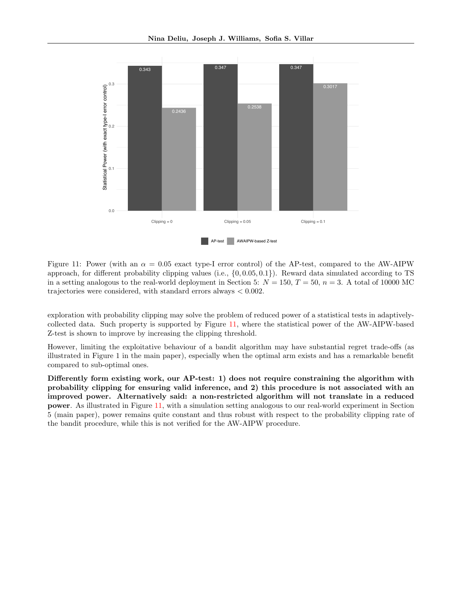

<span id="page-20-0"></span>Figure 11: Power (with an  $\alpha = 0.05$  exact type-I error control) of the AP-test, compared to the AW-AIPW approach, for different probability clipping values (i.e.,  $\{0, 0.05, 0.1\}$ ). Reward data simulated according to TS in a setting analogous to the real-world deployment in Section 5:  $N = 150$ ,  $T = 50$ ,  $n = 3$ . A total of 10000 MC trajectories were considered, with standard errors always < 0.002.

exploration with probability clipping may solve the problem of reduced power of a statistical tests in adaptivelycollected data. Such property is supported by Figure [11,](#page-20-0) where the statistical power of the AW-AIPW-based Z-test is shown to improve by increasing the clipping threshold.

However, limiting the exploitative behaviour of a bandit algorithm may have substantial regret trade-offs (as illustrated in Figure 1 in the main paper), especially when the optimal arm exists and has a remarkable benefit compared to sub-optimal ones.

Differently form existing work, our AP-test: 1) does not require constraining the algorithm with probability clipping for ensuring valid inference, and 2) this procedure is not associated with an improved power. Alternatively said: a non-restricted algorithm will not translate in a reduced power. As illustrated in Figure [11,](#page-20-0) with a simulation setting analogous to our real-world experiment in Section 5 (main paper), power remains quite constant and thus robust with respect to the probability clipping rate of the bandit procedure, while this is not verified for the AW-AIPW procedure.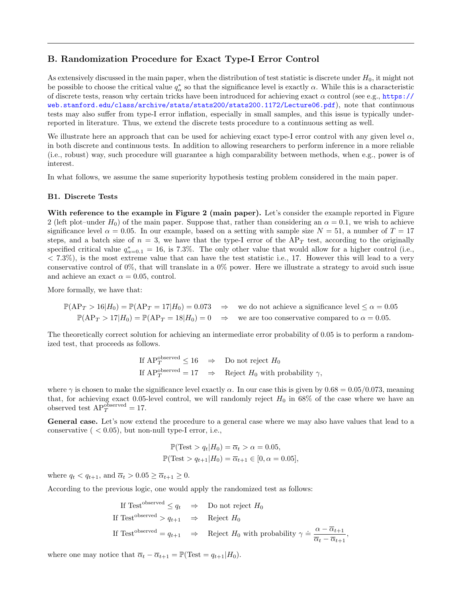# B. Randomization Procedure for Exact Type-I Error Control

As extensively discussed in the main paper, when the distribution of test statistic is discrete under  $H_0$ , it might not be possible to choose the critical value  $q^*_{\alpha}$  so that the significance level is exactly  $\alpha$ . While this is a characteristic of discrete tests, reason why certain tricks have been introduced for achieving exact  $\alpha$  control (see e.g., [https://](https://web.stanford.edu/class/archive/stats/stats200/stats200.1172/Lecture06.pdf) [web.stanford.edu/class/archive/stats/stats200/stats200.1172/Lecture06.pdf](https://web.stanford.edu/class/archive/stats/stats200/stats200.1172/Lecture06.pdf)), note that continuous tests may also suffer from type-I error inflation, especially in small samples, and this issue is typically underreported in literature. Thus, we extend the discrete tests procedure to a continuous setting as well.

We illustrate here an approach that can be used for achieving exact type-I error control with any given level  $\alpha$ , in both discrete and continuous tests. In addition to allowing researchers to perform inference in a more reliable (i.e., robust) way, such procedure will guarantee a high comparability between methods, when e.g., power is of interest.

In what follows, we assume the same superiority hypothesis testing problem considered in the main paper.

#### B1. Discrete Tests

With reference to the example in Figure 2 (main paper). Let's consider the example reported in Figure 2 (left plot–under  $H_0$ ) of the main paper. Suppose that, rather than considering an  $\alpha = 0.1$ , we wish to achieve significance level  $\alpha = 0.05$ . In our example, based on a setting with sample size  $N = 51$ , a number of  $T = 17$ steps, and a batch size of  $n = 3$ , we have that the type-I error of the AP<sub>T</sub> test, according to the originally specified critical value  $q_{\alpha=0.1}^* = 16$ , is 7.3%. The only other value that would allow for a higher control (i.e.,  $< 7.3\%$ ), is the most extreme value that can have the test statistic i.e., 17. However this will lead to a very conservative control of 0%, that will translate in a 0% power. Here we illustrate a strategy to avoid such issue and achieve an exact  $\alpha = 0.05$ , control.

More formally, we have that:

$$
\mathbb{P}(\text{AP}_T > 16 | H_0) = \mathbb{P}(\text{AP}_T = 17 | H_0) = 0.073 \implies
$$
 we do not achieve a significance level  $\leq \alpha = 0.05$ .  $\mathbb{P}(\text{AP}_T > 17 | H_0) = \mathbb{P}(\text{AP}_T = 18 | H_0) = 0 \implies$  we are too conservative compared to  $\alpha = 0.05$ .

The theoretically correct solution for achieving an intermediate error probability of 0.05 is to perform a randomized test, that proceeds as follows.

> If  $AP_T^{\text{observed}} \leq 16 \Rightarrow$  Do not reject  $H_0$ If  $AP_T^{\text{observed}} = 17 \Rightarrow$  Reject  $H_0$  with probability  $\gamma$ ,

where  $\gamma$  is chosen to make the significance level exactly  $\alpha$ . In our case this is given by  $0.68 = 0.05/0.073$ , meaning that, for achieving exact 0.05-level control, we will randomly reject  $H_0$  in 68% of the case where we have an observed test  $AP_T^{\text{observed}} = 17$ .

General case. Let's now extend the procedure to a general case where we may also have values that lead to a conservative  $(  $0.05$ , but non-null type-I error, i.e.,$ 

$$
\mathbb{P}(\text{Test} > q_t | H_0) = \overline{\alpha}_t > \alpha = 0.05,
$$
  

$$
\mathbb{P}(\text{Test} > q_{t+1} | H_0) = \overline{\alpha}_{t+1} \in [0, \alpha = 0.05],
$$

where  $q_t < q_{t+1}$ , and  $\overline{\alpha}_t > 0.05 \ge \overline{\alpha}_{t+1} \ge 0$ .

According to the previous logic, one would apply the randomized test as follows:

If Test<sup>observed</sup> 
$$
\leq q_t \Rightarrow
$$
 Do not reject  $H_0$   
If Test<sup>observed</sup> >  $q_{t+1} \Rightarrow$  Reject  $H_0$   
If Test<sup>observed</sup> =  $q_{t+1} \Rightarrow$  Reject  $H_0$  with probability  $\gamma \doteq \frac{\alpha - \overline{\alpha}_{t+1}}{\overline{\alpha}_t - \overline{\alpha}_{t+1}}$ 

,

where one may notice that  $\overline{\alpha}_t - \overline{\alpha}_{t+1} = \mathbb{P}(\text{Test} = q_{t+1} | H_0).$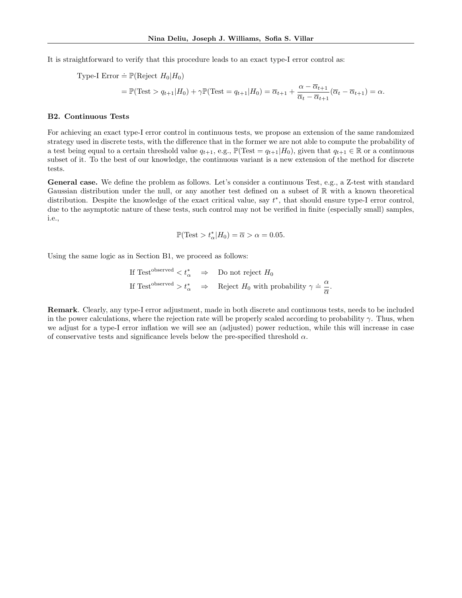It is straightforward to verify that this procedure leads to an exact type-I error control as:

Type-I Error 
$$
\doteq \mathbb{P}(\text{Reject } H_0 | H_0)
$$
  
=  $\mathbb{P}(\text{Test} > q_{t+1} | H_0) + \gamma \mathbb{P}(\text{Test} = q_{t+1} | H_0) = \overline{\alpha}_{t+1} + \frac{\alpha - \overline{\alpha}_{t+1}}{\overline{\alpha}_t - \overline{\alpha}_{t+1}} (\overline{\alpha}_t - \overline{\alpha}_{t+1}) = \alpha.$ 

## B2. Continuous Tests

For achieving an exact type-I error control in continuous tests, we propose an extension of the same randomized strategy used in discrete tests, with the difference that in the former we are not able to compute the probability of a test being equal to a certain threshold value  $q_{t+1}$ , e.g.,  $\mathbb{P}(\text{Test} = q_{t+1}|H_0)$ , given that  $q_{t+1} \in \mathbb{R}$  or a continuous subset of it. To the best of our knowledge, the continuous variant is a new extension of the method for discrete tests.

General case. We define the problem as follows. Let's consider a continuous Test, e.g., a Z-test with standard Gaussian distribution under the null, or any another test defined on a subset of  $\mathbb R$  with a known theoretical distribution. Despite the knowledge of the exact critical value, say  $t^*$ , that should ensure type-I error control, due to the asymptotic nature of these tests, such control may not be verified in finite (especially small) samples, i.e.,

$$
\mathbb{P}(\text{Test} > t^*_{\alpha}|H_0) = \overline{\alpha} > \alpha = 0.05.
$$

Using the same logic as in Section B1, we proceed as follows:

If Test<sup>observed</sup> 
$$
\langle t^*_{\alpha} \rangle
$$
  $\Rightarrow$  Do not reject  $H_0$   
If Test<sup>observed</sup>  $> t^*_{\alpha} \Rightarrow$  Reject  $H_0$  with probability  $\gamma \doteq \frac{\alpha}{\overline{\alpha}}$ .

Remark. Clearly, any type-I error adjustment, made in both discrete and continuous tests, needs to be included in the power calculations, where the rejection rate will be properly scaled according to probability  $\gamma$ . Thus, when we adjust for a type-I error inflation we will see an (adjusted) power reduction, while this will increase in case of conservative tests and significance levels below the pre-specified threshold  $\alpha$ .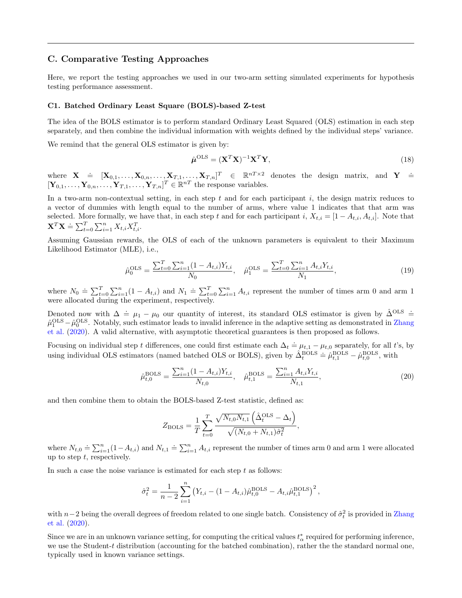## C. Comparative Testing Approaches

Here, we report the testing approaches we used in our two-arm setting simulated experiments for hypothesis testing performance assessment.

#### C1. Batched Ordinary Least Square (BOLS)-based Z-test

The idea of the BOLS estimator is to perform standard Ordinary Least Squared (OLS) estimation in each step separately, and then combine the individual information with weights defined by the individual steps' variance.

We remind that the general OLS estimator is given by:

$$
\hat{\boldsymbol{\mu}}^{\mathrm{OLS}} = (\mathbf{X}^T \mathbf{X})^{-1} \mathbf{X}^T \mathbf{Y},\tag{18}
$$

where  $\mathbf{X} \doteq [\mathbf{X}_{0,1}, \ldots, \mathbf{X}_{0,n}, \ldots, \mathbf{X}_{T,1}, \ldots, \mathbf{X}_{T,n}]^T \in \mathbb{R}^{nT \times 2}$  denotes the design matrix, and  $\mathbf{Y} \doteq$  $[\mathbf{Y}_{0,1},\ldots,\mathbf{Y}_{0,n},\ldots,\mathbf{Y}_{T,1},\ldots,\mathbf{Y}_{T,n}]^T \in \mathbb{R}^{nT}$  the response variables.

In a two-arm non-contextual setting, in each step t and for each participant  $i$ , the design matrix reduces to a vector of dummies with length equal to the number of arms, where value 1 indicates that that arm was selected. More formally, we have that, in each step t and for each participant i,  $X_{t,i} = [1 - A_{t,i}, A_{t,i}]$ . Note that  $\mathbf{X}^T \mathbf{X} \doteq \sum_{t=0}^T \sum_{i=1}^n X_{t,i} X_{t,i}^T.$ 

Assuming Gaussian rewards, the OLS of each of the unknown parameters is equivalent to their Maximum Likelihood Estimator (MLE), i.e.,

$$
\hat{\mu}_0^{\text{OLS}} = \frac{\sum_{t=0}^T \sum_{i=1}^n (1 - A_{t,i}) Y_{t,i}}{N_0}, \quad \hat{\mu}_1^{\text{OLS}} = \frac{\sum_{t=0}^T \sum_{i=1}^n A_{t,i} Y_{t,i}}{N_1},\tag{19}
$$

where  $N_0 \doteq \sum_{t=0}^T \sum_{i=1}^n (1 - A_{t,i})$  and  $N_1 \doteq \sum_{t=0}^T \sum_{i=1}^n A_{t,i}$  represent the number of times arm 0 and arm 1 were allocated during the experiment, respectively.

Denoted now with  $\Delta \doteq \mu_1 - \mu_0$  our quantity of interest, its standard OLS estimator is given by  $\hat{\Delta}^{OLS} \doteq$  $\hat{\mu}_{1}^{\text{OLS}} - \hat{\mu}_{0}^{\text{OLS}}$ . Notably, such estimator leads to invalid inference in the adaptive setting as demonstrated in [Zhang](#page-10-1) [et al.](#page-10-1) [\(2020\)](#page-10-1). A valid alternative, with asymptotic theoretical guarantees is then proposed as follows.

Focusing on individual step t differences, one could first estimate each  $\Delta_t \doteq \mu_{t,1} - \mu_{t,0}$  separately, for all t's, by using individual OLS estimators (named batched OLS or BOLS), given by  $\hat{\Delta}_{t}^{\text{BOLS}} = \hat{\mu}_{t,1}^{\text{BOLS}} - \hat{\mu}_{t,0}^{\text{BOLS}}$ , with

$$
\hat{\mu}_{t,0}^{\text{BOLS}} = \frac{\sum_{i=1}^{n} (1 - A_{t,i}) Y_{t,i}}{N_{t,0}}, \quad \hat{\mu}_{t,1}^{\text{BOLS}} = \frac{\sum_{i=1}^{n} A_{t,i} Y_{t,i}}{N_{t,1}},
$$
\n(20)

and then combine them to obtain the BOLS-based Z-test statistic, defined as:

$$
Z_{\text{BOLS}} = \frac{1}{T} \sum_{t=0}^{T} \frac{\sqrt{N_{t,0} N_{t,1}} \left( \hat{\Delta}^{\text{OLS}}_t - \Delta_t \right)}{\sqrt{(N_{t,0} + N_{t,1}) \hat{\sigma}_t^2}},
$$

where  $N_{t,0} \doteq \sum_{i=1}^{n} (1 - A_{t,i})$  and  $N_{t,1} \doteq \sum_{i=1}^{n} A_{t,i}$  represent the number of times arm 0 and arm 1 were allocated up to step  $t$ , respectively.

In such a case the noise variance is estimated for each step  $t$  as follows:

$$
\hat{\sigma}_t^2 = \frac{1}{n-2} \sum_{i=1}^n (Y_{t,i} - (1 - A_{t,i}) \hat{\mu}_{t,0}^{\text{BOLS}} - A_{t,i} \hat{\mu}_{t,1}^{\text{BOLS}})^2,
$$

with  $n-2$  being the overall degrees of freedom related to one single batch. Consistency of  $\hat{\sigma}_t^2$  is provided in [Zhang](#page-10-1) [et al.](#page-10-1) [\(2020\)](#page-10-1).

Since we are in an unknown variance setting, for computing the critical values  $t^*_{\alpha}$  required for performing inference, we use the Student-t distribution (accounting for the batched combination), rather the the standard normal one, typically used in known variance settings.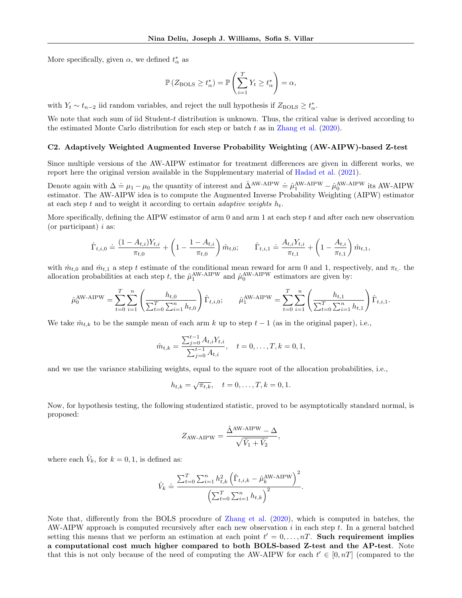More specifically, given  $\alpha$ , we defined  $t^*_{\alpha}$  as

$$
\mathbb{P}\left(Z_{\text{BOLS}}\geq t_{\alpha}^*\right)=\mathbb{P}\left(\sum_{i=1}^T Y_t\geq t_{\alpha}^*\right)=\alpha,
$$

with  $Y_t \sim t_{n-2}$  iid random variables, and reject the null hypothesis if  $Z_{\text{BOLS}} \geq t_{\alpha}^*$ .

We note that such sum of iid Student-t distribution is unknown. Thus, the critical value is derived according to the estimated Monte Carlo distribution for each step or batch  $t$  as in [Zhang et al.](#page-10-1) [\(2020\)](#page-10-1).

#### C2. Adaptively Weighted Augmented Inverse Probability Weighting (AW-AIPW)-based Z-test

Since multiple versions of the AW-AIPW estimator for treatment differences are given in different works, we report here the original version available in the Supplementary material of [Hadad et al.](#page-9-2) [\(2021\)](#page-9-2).

Denote again with  $\Delta \doteq \mu_1 - \mu_0$  the quantity of interest and  $\hat{\Delta}^{AW-AIPW} \doteq \hat{\mu}_1^{AW-AIPW} - \hat{\mu}_0^{AW-AIPW}$  its AW-AIPW estimator. The AW-AIPW idea is to compute the Augmented Inverse Probability Weighting (AIPW) estimator at each step t and to weight it according to certain *adaptive weights*  $h_t$ .

More specifically, defining the AIPW estimator of arm  $0$  and arm  $1$  at each step  $t$  and after each new observation (or participant)  $i$  as:

$$
\hat{\Gamma}_{t,i,0} \doteq \frac{(1-A_{t,i})Y_{t,i}}{\pi_{t,0}} + \left(1 - \frac{1-A_{t,i}}{\pi_{t,0}}\right)\hat{m}_{t,0}; \qquad \hat{\Gamma}_{t,i,1} \doteq \frac{A_{t,i}Y_{t,i}}{\pi_{t,1}} + \left(1 - \frac{A_{t,i}}{\pi_{t,1}}\right)\hat{m}_{t,1},
$$

with  $\hat{m}_{t,0}$  and  $\hat{m}_{t,1}$  a step t estimate of the conditional mean reward for arm 0 and 1, respectively, and  $\pi_{t}$ , the allocation probabilities at each step t, the  $\hat{\mu}_1^{\text{AW-AIPW}}$  and  $\hat{\mu}_0^{\text{AW-AIPW}}$  estimators are given by:

$$
\hat{\mu}_0^{\text{AW-AIPW}} = \sum_{t=0}^T \sum_{i=1}^n \left( \frac{h_{t,0}}{\sum_{t=0}^T \sum_{i=1}^n h_{t,0}} \right) \hat{\Gamma}_{t,i,0}; \qquad \hat{\mu}_1^{\text{AW-AIPW}} = \sum_{t=0}^T \sum_{i=1}^n \left( \frac{h_{t,1}}{\sum_{t=0}^T \sum_{i=1}^n h_{t,1}} \right) \hat{\Gamma}_{t,i,1}.
$$

We take  $\hat{m}_{t,k}$  to be the sample mean of each arm k up to step  $t-1$  (as in the original paper), i.e.,

$$
\hat{m}_{t,k} = \frac{\sum_{j=0}^{t-1} A_{t,i} Y_{t,i}}{\sum_{j=0}^{t-1} A_{t,i}}, \quad t = 0, \dots, T, k = 0, 1,
$$

and we use the variance stabilizing weights, equal to the square root of the allocation probabilities, i.e.,

$$
h_{t,k} = \sqrt{\pi_{t,k}}, \quad t = 0, \dots, T, k = 0, 1.
$$

Now, for hypothesis testing, the following studentized statistic, proved to be asymptotically standard normal, is proposed:

$$
Z_{\rm AW-AIPW} = \frac{\hat{\Delta}^{\rm AW-AIPW} - \Delta}{\sqrt{\hat{V}_1 + \hat{V}_2}},
$$

where each  $\hat{V}_k$ , for  $k = 0, 1$ , is defined as:

$$
\hat{V}_k \doteq \frac{\sum_{t=0}^{T} \sum_{i=1}^{n} h_{t,k}^2 (\hat{\Gamma}_{t,i,k} - \hat{\mu}_k^{\text{AW-AIPW}})^2}{(\sum_{t=0}^{T} \sum_{i=1}^{n} h_{t,k})^2}.
$$

Note that, differently from the BOLS procedure of [Zhang et al.](#page-10-1) [\(2020\)](#page-10-1), which is computed in batches, the AW-AIPW approach is computed recursively after each new observation  $i$  in each step  $t$ . In a general batched setting this means that we perform an estimation at each point  $t' = 0, \ldots, n$ . Such requirement implies a computational cost much higher compared to both BOLS-based Z-test and the AP-test. Note that this is not only because of the need of computing the AW-AIPW for each  $t' \in [0, nT]$  (compared to the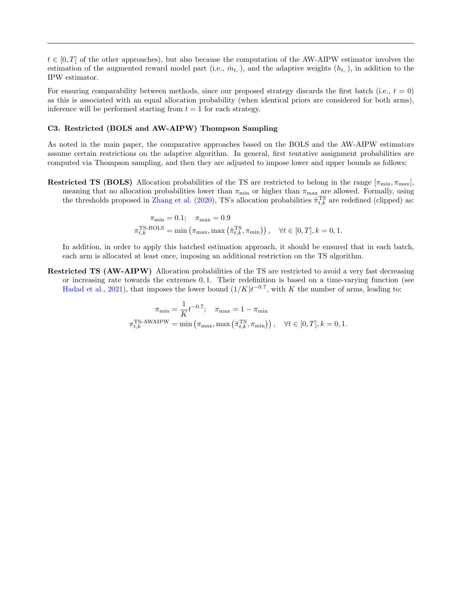$t \in [0, T]$  of the other approaches), but also because the computation of the AW-AIPW estimator involves the estimation of the augmented reward model part (i.e.,  $\hat{m}_t$ .), and the adaptive weights  $(h_t, \cdot)$ , in addition to the IPW estimator.

For ensuring comparability between methods, since our proposed strategy discards the first batch (i.e.,  $t = 0$ ) as this is associated with an equal allocation probability (when identical priors are considered for both arms), inference will be performed starting from  $t = 1$  for each strategy.

## C3. Restricted (BOLS and AW-AIPW) Thompson Sampling

As noted in the main paper, the comparative approaches based on the BOLS and the AW-AIPW estimators assume certain restrictions on the adaptive algorithm. In general, first tentative assignment probabilities are computed via Thompson sampling, and then they are adjusted to impose lower and upper bounds as follows:

**Restricted TS (BOLS)** Allocation probabilities of the TS are restricted to belong in the range  $[\pi_{\min}, \pi_{\max}]$ , meaning that no allocation probabilities lower than  $\pi_{\min}$  or higher than  $\pi_{\max}$  are allowed. Formally, using the thresholds proposed in [Zhang et al.](#page-10-1) [\(2020\)](#page-10-1), TS's allocation probabilities  $\tilde{\pi}_{t,k}^{\text{TS}}$  are redefined (clipped) as:

$$
\pi_{\min} = 0.1; \quad \pi_{\max} = 0.9
$$
  

$$
\pi_{t,k}^{\text{TS-BOLS}} = \min \left( \pi_{\max}, \max \left( \tilde{\pi}_{t,k}^{\text{TS}}, \pi_{\min} \right) \right), \quad \forall t \in [0, T], k = 0, 1.
$$

In addition, in order to apply this batched estimation approach, it should be ensured that in each batch, each arm is allocated at least once, imposing an additional restriction on the TS algorithm.

Restricted TS (AW-AIPW) Allocation probabilities of the TS are restricted to avoid a very fast decreasing or increasing rate towards the extremes 0, 1. Their redefinition is based on a time-varying function (see [Hadad et al.,](#page-9-2) [2021\)](#page-9-2), that imposes the lower bound  $(1/K)t^{-0.7}$ , with K the number of arms, leading to:

$$
\pi_{\min} = \frac{1}{K} t^{-0.7}; \quad \pi_{\max} = 1 - \pi_{\min}
$$

$$
\pi_{t,k}^{\text{TS-AWAIPW}} = \min \left( \pi_{\max}, \max \left( \tilde{\pi}_{t,k}^{\text{TS}}, \pi_{\min} \right) \right), \quad \forall t \in [0, T], k = 0, 1.
$$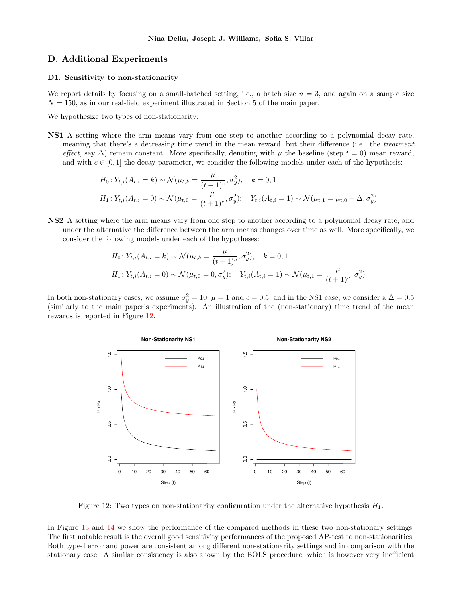## D. Additional Experiments

#### D1. Sensitivity to non-stationarity

We report details by focusing on a small-batched setting, i.e., a batch size  $n = 3$ , and again on a sample size  $N = 150$ , as in our real-field experiment illustrated in Section 5 of the main paper.

We hypothesize two types of non-stationarity:

NS1 A setting where the arm means vary from one step to another according to a polynomial decay rate, meaning that there's a decreasing time trend in the mean reward, but their difference (i.e., the treatment effect, say  $\Delta$ ) remain constant. More specifically, denoting with  $\mu$  the baseline (step  $t = 0$ ) mean reward, and with  $c \in [0,1]$  the decay parameter, we consider the following models under each of the hypothesis:

$$
H_0: Y_{t,i}(A_{t,i} = k) \sim \mathcal{N}(\mu_{t,k} = \frac{\mu}{(t+1)^c}, \sigma_y^2), \quad k = 0, 1
$$
  

$$
H_1: Y_{t,i}(A_{t,i} = 0) \sim \mathcal{N}(\mu_{t,0} = \frac{\mu}{(t+1)^c}, \sigma_y^2); \quad Y_{t,i}(A_{t,i} = 1) \sim \mathcal{N}(\mu_{t,1} = \mu_{t,0} + \Delta, \sigma_y^2)
$$

NS2 A setting where the arm means vary from one step to another according to a polynomial decay rate, and under the alternative the difference between the arm means changes over time as well. More specifically, we consider the following models under each of the hypotheses:

$$
H_0: Y_{t,i}(A_{t,i} = k) \sim \mathcal{N}(\mu_{t,k} = \frac{\mu}{(t+1)^c}, \sigma_y^2), \quad k = 0, 1
$$
  

$$
H_1: Y_{t,i}(A_{t,i} = 0) \sim \mathcal{N}(\mu_{t,0} = 0, \sigma_y^2); \quad Y_{t,i}(A_{t,i} = 1) \sim \mathcal{N}(\mu_{t,1} = \frac{\mu}{(t+1)^c}, \sigma_y^2)
$$

In both non-stationary cases, we assume  $\sigma_y^2 = 10$ ,  $\mu = 1$  and  $c = 0.5$ , and in the NS1 case, we consider a  $\Delta = 0.5$ (similarly to the main paper's experiments). An illustration of the (non-stationary) time trend of the mean rewards is reported in Figure [12.](#page-26-0)



<span id="page-26-0"></span>Figure 12: Two types on non-stationarity configuration under the alternative hypothesis  $H_1$ .

In Figure [13](#page-27-0) and [14](#page-27-1) we show the performance of the compared methods in these two non-stationary settings. The first notable result is the overall good sensitivity performances of the proposed AP-test to non-stationarities. Both type-I error and power are consistent among different non-stationarity settings and in comparison with the stationary case. A similar consistency is also shown by the BOLS procedure, which is however very inefficient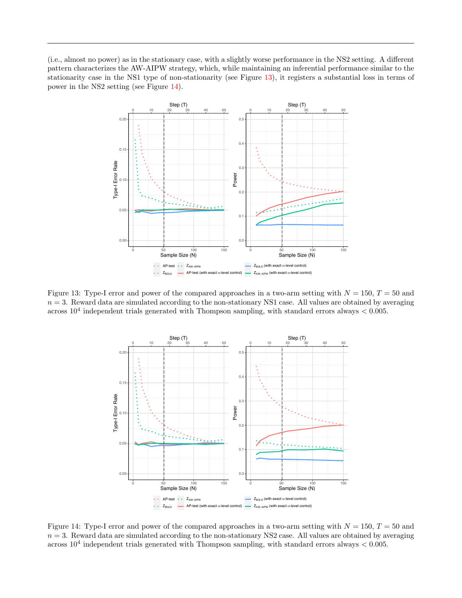(i.e., almost no power) as in the stationary case, with a slightly worse performance in the NS2 setting. A different pattern characterizes the AW-AIPW strategy, which, while maintaining an inferential performance similar to the stationarity case in the NS1 type of non-stationarity (see Figure [13\)](#page-27-0), it registers a substantial loss in terms of power in the NS2 setting (see Figure [14\)](#page-27-1).



<span id="page-27-0"></span>Figure 13: Type-I error and power of the compared approaches in a two-arm setting with  $N = 150$ ,  $T = 50$  and  $n = 3$ . Reward data are simulated according to the non-stationary NS1 case. All values are obtained by averaging across  $10^4$  independent trials generated with Thompson sampling, with standard errors always  $< 0.005$ .



<span id="page-27-1"></span>Figure 14: Type-I error and power of the compared approaches in a two-arm setting with  $N = 150$ ,  $T = 50$  and  $n = 3$ . Reward data are simulated according to the non-stationary NS2 case. All values are obtained by averaging across  $10^4$  independent trials generated with Thompson sampling, with standard errors always  $< 0.005$ .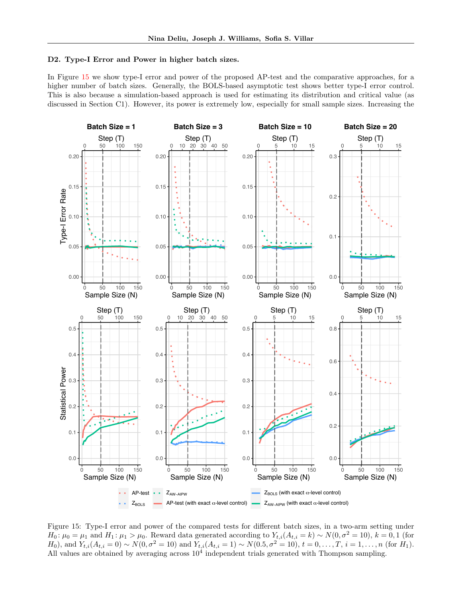#### D2. Type-I Error and Power in higher batch sizes.

In Figure [15](#page-28-0) we show type-I error and power of the proposed AP-test and the comparative approaches, for a higher number of batch sizes. Generally, the BOLS-based asymptotic test shows better type-I error control. This is also because a simulation-based approach is used for estimating its distribution and critical value (as discussed in Section C1). However, its power is extremely low, especially for small sample sizes. Increasing the



<span id="page-28-0"></span>Figure 15: Type-I error and power of the compared tests for different batch sizes, in a two-arm setting under  $H_0: \mu_0 = \mu_1$  and  $H_1: \mu_1 > \mu_0$ . Reward data generated according to  $Y_{t,i}(A_{t,i} = k) \sim N(0, \sigma^2 = 10)$ ,  $k = 0, 1$  (for H<sub>0</sub>), and  $Y_{t,i}(A_{t,i} = 0) \sim N(0, \sigma^2 = 10)$  and  $Y_{t,i}(A_{t,i} = 1) \sim N(0.5, \sigma^2 = 10)$ ,  $t = 0, \ldots, T$ ,  $i = 1, \ldots, n$  (for H<sub>1</sub>). All values are obtained by averaging across  $10<sup>4</sup>$  independent trials generated with Thompson sampling.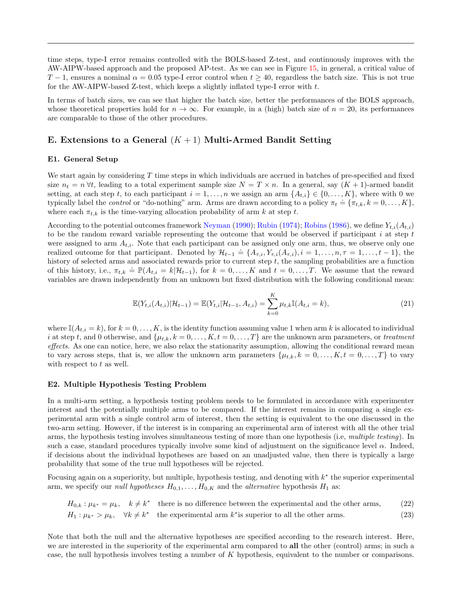time steps, type-I error remains controlled with the BOLS-based Z-test, and continuously improves with the AW-AIPW-based approach and the proposed AP-test. As we can see in Figure [15,](#page-28-0) in general, a critical value of T − 1, ensures a nominal  $\alpha = 0.05$  type-I error control when  $t > 40$ , regardless the batch size. This is not true for the AW-AIPW-based Z-test, which keeps a slightly inflated type-I error with  $t$ .

In terms of batch sizes, we can see that higher the batch size, better the performances of the BOLS approach, whose theoretical properties hold for  $n \to \infty$ . For example, in a (high) batch size of  $n = 20$ , its performances are comparable to those of the other procedures.

## E. Extensions to a General  $(K + 1)$  Multi-Armed Bandit Setting

#### E1. General Setup

We start again by considering  $T$  time steps in which individuals are accrued in batches of pre-specified and fixed size  $n_t = n \forall t$ , leading to a total experiment sample size  $N = T \times n$ . In a general, say  $(K + 1)$ -armed bandit setting, at each step t, to each participant  $i = 1, \ldots, n$  we assign an arm  $\{A_{t,i}\}\in\{0,\ldots,K\}$ , where with 0 we typically label the *control* or "do-nothing" arm. Arms are drawn according to a policy  $\pi_t \doteq {\pi_{t,k}, k = 0, ..., K}$ , where each  $\pi_{t,k}$  is the time-varying allocation probability of arm k at step t.

According to the potential outcomes framework [Neyman](#page-9-14) [\(1990\)](#page-9-14); [Rubin](#page-9-22) [\(1974\)](#page-9-22); [Robins](#page-9-23) [\(1986\)](#page-9-23), we define  $Y_{t,i}(A_{t,i})$ to be the random reward variable representing the outcome that would be observed if participant  $i$  at step  $t$ were assigned to arm  $A_{t,i}$ . Note that each participant can be assigned only one arm, thus, we observe only one realized outcome for that participant. Denoted by  $\mathcal{H}_{t-1} \doteq \{A_{\tau,i}, Y_{\tau,i}(A_{\tau,i}), i = 1, \ldots, n, \tau = 1, \ldots, t-1\}$ , the history of selected arms and associated rewards prior to current step  $t$ , the sampling probabilities are a function of this history, i.e.,  $\pi_{t,k} \doteq \mathbb{P}(A_{t,i} = k | \mathcal{H}_{t-1})$ , for  $k = 0, \ldots, K$  and  $t = 0, \ldots, T$ . We assume that the reward variables are drawn independently from an unknown but fixed distribution with the following conditional mean:

$$
\mathbb{E}(Y_{t,i}(A_{t,i})|\mathcal{H}_{t-1}) = \mathbb{E}(Y_{t,i}|\mathcal{H}_{t-1}, A_{t,i}) = \sum_{k=0}^{K} \mu_{t,k} \mathbb{I}(A_{t,i} = k),
$$
\n(21)

where  $\mathbb{I}(A_{t,i} = k)$ , for  $k = 0, \ldots, K$ , is the identity function assuming value 1 when arm k is allocated to individual i at step t, and 0 otherwise, and  $\{\mu_{t,k}, k = 0, \ldots, K, t = 0, \ldots, T\}$  are the unknown arm parameters, or treatment effects. As one can notice, here, we also relax the stationarity assumption, allowing the conditional reward mean to vary across steps, that is, we allow the unknown arm parameters  $\{\mu_{t,k}, k = 0, \ldots, K, t = 0, \ldots, T\}$  to vary with respect to  $t$  as well.

#### E2. Multiple Hypothesis Testing Problem

In a multi-arm setting, a hypothesis testing problem needs to be formulated in accordance with experimenter interest and the potentially multiple arms to be compared. If the interest remains in comparing a single experimental arm with a single control arm of interest, then the setting is equivalent to the one discussed in the two-arm setting. However, if the interest is in comparing an experimental arm of interest with all the other trial arms, the hypothesis testing involves simultaneous testing of more than one hypothesis (i.e, multiple testing). In such a case, standard procedures typically involve some kind of adjustment on the significance level  $\alpha$ . Indeed, if decisions about the individual hypotheses are based on an unadjusted value, then there is typically a large probability that some of the true null hypotheses will be rejected.

Focusing again on a superiority, but multiple, hypothesis testing, and denoting with  $k^*$  the superior experimental arm, we specify our *null hypotheses*  $H_{0,1}, \ldots, H_{0,K}$  and the *alternative* hypothesis  $H_1$  as:

<span id="page-29-1"></span><span id="page-29-0"></span>
$$
H_{0,k}: \mu_{k^*} = \mu_k, \quad k \neq k^*
$$
 there is no difference between the experimental and the other arms, (22)  

$$
H_1: \mu_{k^*} > \mu_k, \quad \forall k \neq k^*
$$
 the experimental arm  $k^*$  is superior to all the other arms. (23)

Note that both the null and the alternative hypotheses are specified according to the research interest. Here, we are interested in the superiority of the experimental arm compared to all the other (control) arms; in such a case, the null hypothesis involves testing a number of K hypothesis, equivalent to the number or comparisons.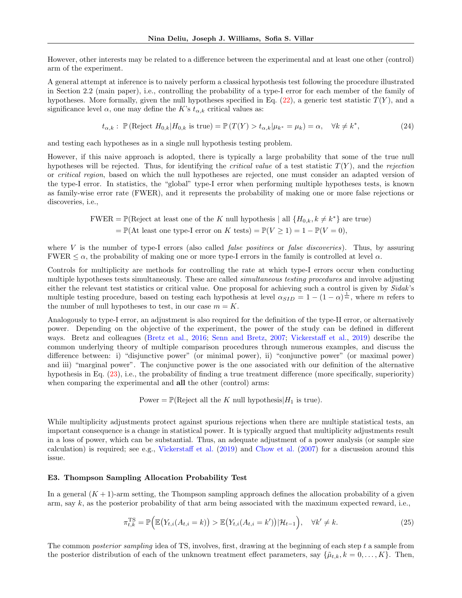However, other interests may be related to a difference between the experimental and at least one other (control) arm of the experiment.

A general attempt at inference is to naively perform a classical hypothesis test following the procedure illustrated in Section 2.2 (main paper), i.e., controlling the probability of a type-I error for each member of the family of hypotheses. More formally, given the null hypotheses specified in Eq.  $(22)$ , a generic test statistic  $T(Y)$ , and a significance level  $\alpha$ , one may define the K's  $t_{\alpha,k}$  critical values as:

$$
t_{\alpha,k}: \mathbb{P}(\text{Reject } H_{0,k}|H_{0,k} \text{ is true}) = \mathbb{P}(T(Y) > t_{\alpha,k}|\mu_{k^*} = \mu_k) = \alpha, \quad \forall k \neq k^*,\tag{24}
$$

and testing each hypotheses as in a single null hypothesis testing problem.

However, if this naive approach is adopted, there is typically a large probability that some of the true null hypotheses will be rejected. Thus, for identifying the *critical value* of a test statistic  $T(Y)$ , and the rejection or critical region, based on which the null hypotheses are rejected, one must consider an adapted version of the type-I error. In statistics, the "global" type-I error when performing multiple hypotheses tests, is known as family-wise error rate (FWER), and it represents the probability of making one or more false rejections or discoveries, i.e.,

> FWER =  $\mathbb{P}(\text{Reject at least one of the } K \text{ null hypothesis } | \text{ all } \{H_{0,k}, k \neq k^*\}\text{ are true})$ =  $\mathbb{P}(\text{At least one type-I error on } K \text{ tests}) = \mathbb{P}(V \ge 1) = 1 - \mathbb{P}(V = 0),$

where  $V$  is the number of type-I errors (also called *false positives* or *false discoveries*). Thus, by assuring FWER  $\leq \alpha$ , the probability of making one or more type-I errors in the family is controlled at level  $\alpha$ .

Controls for multiplicity are methods for controlling the rate at which type-I errors occur when conducting multiple hypotheses tests simultaneously. These are called *simultaneous testing procedures* and involve adjusting either the relevant test statistics or critical value. One proposal for achieving such a control is given by Sidak's multiple testing procedure, based on testing each hypothesis at level  $\alpha_{SID} = 1 - (1 - \alpha)^{\frac{1}{m}}$ , where m refers to the number of null hypotheses to test, in our case  $m = K$ .

Analogously to type-I error, an adjustment is also required for the definition of the type-II error, or alternatively power. Depending on the objective of the experiment, the power of the study can be defined in different ways. Bretz and colleagues [\(Bretz et al.,](#page-8-14) [2016;](#page-8-14) [Senn and Bretz,](#page-9-24) [2007;](#page-9-24) [Vickerstaff et al.,](#page-10-7) [2019\)](#page-10-7) describe the common underlying theory of multiple comparison procedures through numerous examples, and discuss the difference between: i) "disjunctive power" (or minimal power), ii) "conjunctive power" (or maximal power) and iii) "marginal power". The conjunctive power is the one associated with our definition of the alternative hypothesis in Eq. [\(23\)](#page-29-1), i.e., the probability of finding a true treatment difference (more specifically, superiority) when comparing the experimental and **all** the other (control) arms:

Power =  $\mathbb{P}(\text{Reject all the } K \text{ null hypothesis} | H_1 \text{ is true}).$ 

While multiplicity adjustments protect against spurious rejections when there are multiple statistical tests, an important consequence is a change in statistical power. It is typically argued that multiplicity adjustments result in a loss of power, which can be substantial. Thus, an adequate adjustment of a power analysis (or sample size calculation) is required; see e.g., [Vickerstaff et al.](#page-10-7) [\(2019\)](#page-10-7) and [Chow et al.](#page-8-15) [\(2007\)](#page-8-15) for a discussion around this issue.

#### E3. Thompson Sampling Allocation Probability Test

In a general  $(K + 1)$ -arm setting, the Thompson sampling approach defines the allocation probability of a given arm, say  $k$ , as the posterior probability of that arm being associated with the maximum expected reward, i.e.,

<span id="page-30-0"></span>
$$
\pi_{t,k}^{\text{TS}} = \mathbb{P}\Big(\mathbb{E}\big(Y_{t,i}(A_{t,i}=k)\big) > \mathbb{E}\big(Y_{t,i}(A_{t,i}=k')\big)|\mathcal{H}_{t-1}\Big), \quad \forall k' \neq k. \tag{25}
$$

The common *posterior sampling* idea of TS, involves, first, drawing at the beginning of each step t a sample from the posterior distribution of each of the unknown treatment effect parameters, say  $\{\tilde{\mu}_{t,k}, k = 0, \ldots, K\}$ . Then,